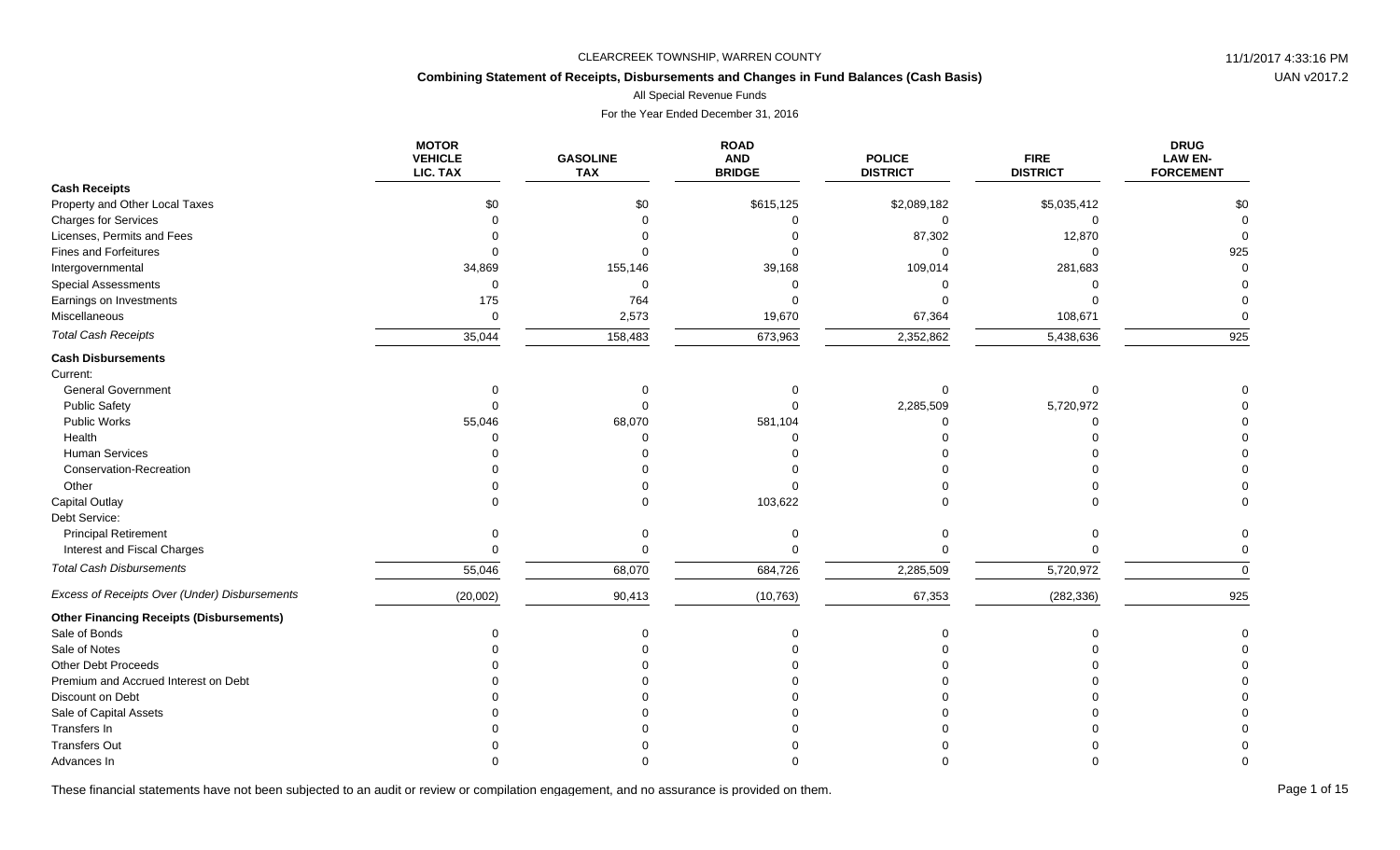## **Combining Statement of Receipts, Disbursements and Changes in Fund Balances (Cash Basis)**

All Special Revenue Funds

For the Year Ended December 31, 2016

|                                                 | <b>MOTOR</b><br><b>VEHICLE</b><br>LIC. TAX | <b>GASOLINE</b><br><b>TAX</b> | <b>ROAD</b><br><b>AND</b><br><b>BRIDGE</b> | <b>POLICE</b><br><b>DISTRICT</b> | <b>FIRE</b><br><b>DISTRICT</b> | <b>DRUG</b><br><b>LAW EN-</b><br><b>FORCEMENT</b> |
|-------------------------------------------------|--------------------------------------------|-------------------------------|--------------------------------------------|----------------------------------|--------------------------------|---------------------------------------------------|
| <b>Cash Receipts</b>                            |                                            |                               |                                            |                                  |                                |                                                   |
| Property and Other Local Taxes                  | \$0                                        | \$0                           | \$615,125                                  | \$2,089,182                      | \$5,035,412                    | \$0                                               |
| <b>Charges for Services</b>                     |                                            |                               |                                            | $\Omega$                         |                                | $\Omega$                                          |
| Licenses, Permits and Fees                      |                                            |                               |                                            | 87,302                           | 12,870                         |                                                   |
| Fines and Forfeitures                           |                                            |                               |                                            |                                  |                                | 925                                               |
| Intergovernmental                               | 34,869                                     | 155,146                       | 39,168                                     | 109,014                          | 281,683                        |                                                   |
| <b>Special Assessments</b>                      | $\Omega$                                   | U                             |                                            |                                  |                                |                                                   |
| Earnings on Investments                         | 175                                        | 764                           |                                            |                                  |                                |                                                   |
| Miscellaneous                                   | $\mathbf 0$                                | 2,573                         | 19,670                                     | 67,364                           | 108,671                        |                                                   |
| <b>Total Cash Receipts</b>                      | 35,044                                     | 158,483                       | 673,963                                    | 2,352,862                        | 5,438,636                      | 925                                               |
| <b>Cash Disbursements</b>                       |                                            |                               |                                            |                                  |                                |                                                   |
| Current:                                        |                                            |                               |                                            |                                  |                                |                                                   |
| <b>General Government</b>                       |                                            |                               |                                            |                                  |                                |                                                   |
| <b>Public Safety</b>                            |                                            |                               |                                            | 2,285,509                        | 5,720,972                      |                                                   |
| Public Works                                    | 55,046                                     | 68,070                        | 581,104                                    |                                  |                                |                                                   |
| Health                                          |                                            |                               |                                            |                                  |                                |                                                   |
| <b>Human Services</b>                           |                                            |                               |                                            |                                  |                                |                                                   |
| Conservation-Recreation                         |                                            |                               |                                            |                                  |                                |                                                   |
| Other                                           |                                            |                               |                                            |                                  |                                |                                                   |
| <b>Capital Outlay</b>                           |                                            |                               | 103,622                                    |                                  |                                |                                                   |
| Debt Service:                                   |                                            |                               |                                            |                                  |                                |                                                   |
| <b>Principal Retirement</b>                     |                                            |                               |                                            |                                  |                                |                                                   |
| Interest and Fiscal Charges                     | $\Omega$                                   |                               |                                            |                                  |                                |                                                   |
| <b>Total Cash Disbursements</b>                 | 55,046                                     | 68,070                        | 684,726                                    | 2,285,509                        | 5,720,972                      | $\Omega$                                          |
| Excess of Receipts Over (Under) Disbursements   | (20,002)                                   | 90,413                        | (10, 763)                                  | 67,353                           | (282, 336)                     | 925                                               |
| <b>Other Financing Receipts (Disbursements)</b> |                                            |                               |                                            |                                  |                                |                                                   |
| Sale of Bonds                                   |                                            |                               |                                            |                                  |                                |                                                   |
| Sale of Notes                                   |                                            |                               |                                            |                                  |                                |                                                   |
| Other Debt Proceeds                             |                                            |                               |                                            |                                  |                                |                                                   |
| Premium and Accrued Interest on Debt            |                                            |                               |                                            |                                  |                                |                                                   |
| Discount on Debt                                |                                            |                               |                                            |                                  |                                |                                                   |
| Sale of Capital Assets                          |                                            |                               |                                            |                                  |                                |                                                   |
| Transfers In                                    |                                            |                               |                                            |                                  |                                |                                                   |
| <b>Transfers Out</b>                            |                                            |                               |                                            |                                  |                                |                                                   |
| Advances In                                     |                                            |                               |                                            |                                  |                                |                                                   |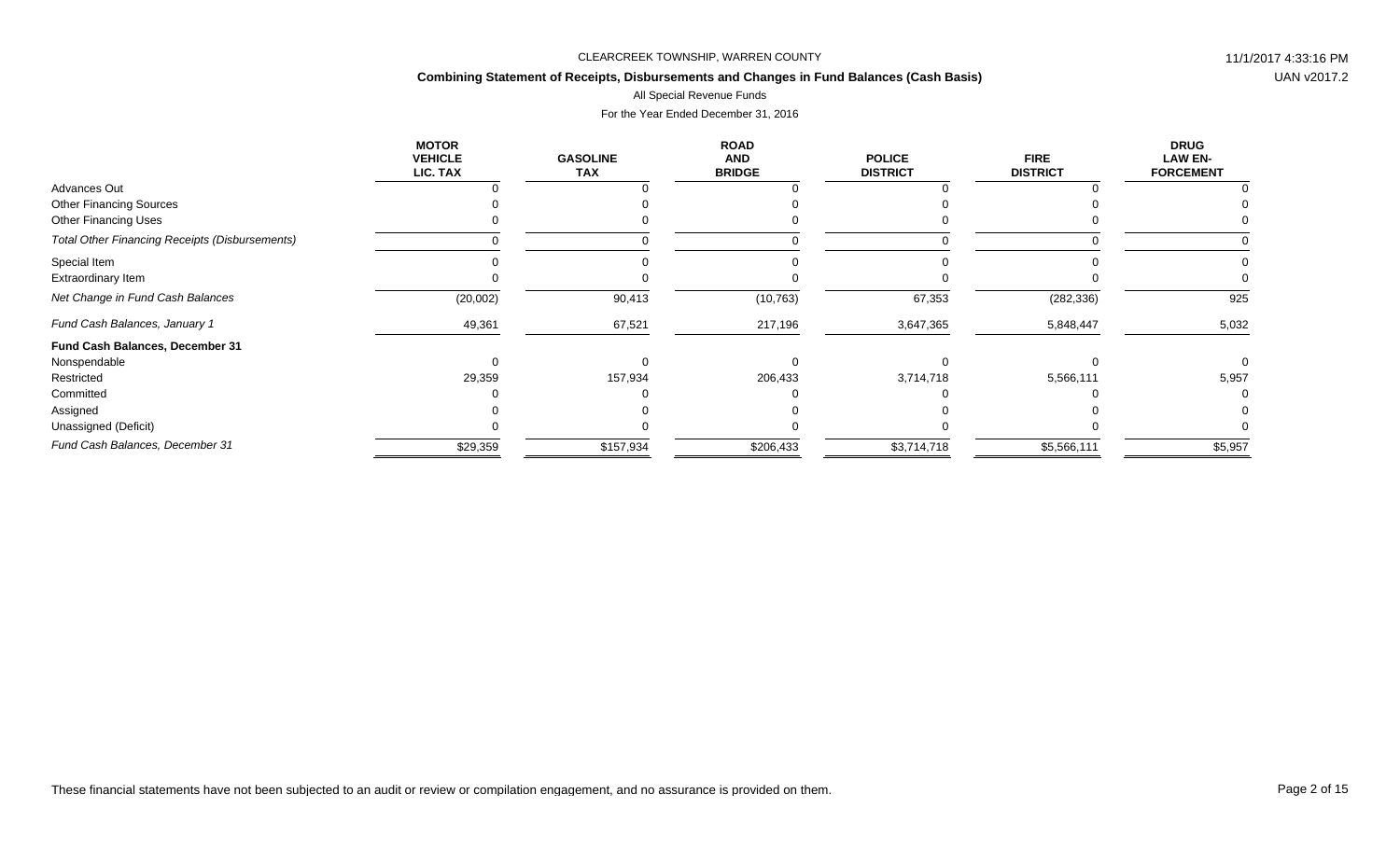## **Combining Statement of Receipts, Disbursements and Changes in Fund Balances (Cash Basis)**

## All Special Revenue Funds

|                                                       | <b>MOTOR</b><br><b>VEHICLE</b><br>LIC. TAX | <b>GASOLINE</b><br><b>TAX</b> | <b>ROAD</b><br><b>AND</b><br><b>BRIDGE</b> | <b>POLICE</b><br><b>DISTRICT</b> | <b>FIRE</b><br><b>DISTRICT</b> | <b>DRUG</b><br><b>LAW EN-</b><br><b>FORCEMENT</b> |
|-------------------------------------------------------|--------------------------------------------|-------------------------------|--------------------------------------------|----------------------------------|--------------------------------|---------------------------------------------------|
| Advances Out                                          |                                            |                               |                                            |                                  |                                |                                                   |
| <b>Other Financing Sources</b>                        |                                            |                               |                                            |                                  |                                |                                                   |
| <b>Other Financing Uses</b>                           |                                            |                               |                                            |                                  |                                |                                                   |
| <b>Total Other Financing Receipts (Disbursements)</b> |                                            |                               |                                            |                                  |                                |                                                   |
| Special Item                                          |                                            |                               |                                            |                                  |                                |                                                   |
| Extraordinary Item                                    |                                            |                               |                                            |                                  |                                |                                                   |
| Net Change in Fund Cash Balances                      | (20,002)                                   | 90,413                        | (10, 763)                                  | 67,353                           | (282, 336)                     | 925                                               |
| Fund Cash Balances, January 1                         | 49,361                                     | 67,521                        | 217,196                                    | 3,647,365                        | 5,848,447                      | 5,032                                             |
| Fund Cash Balances, December 31                       |                                            |                               |                                            |                                  |                                |                                                   |
| Nonspendable                                          |                                            |                               |                                            |                                  |                                |                                                   |
| Restricted                                            | 29,359                                     | 157,934                       | 206,433                                    | 3,714,718                        | 5,566,111                      | 5,957                                             |
| Committed                                             |                                            |                               |                                            |                                  |                                |                                                   |
| Assigned                                              |                                            |                               |                                            |                                  |                                |                                                   |
| Unassigned (Deficit)                                  |                                            |                               |                                            |                                  |                                |                                                   |
| Fund Cash Balances, December 31                       | \$29,359                                   | \$157,934                     | \$206,433                                  | \$3,714,718                      | \$5,566,111                    | \$5,957                                           |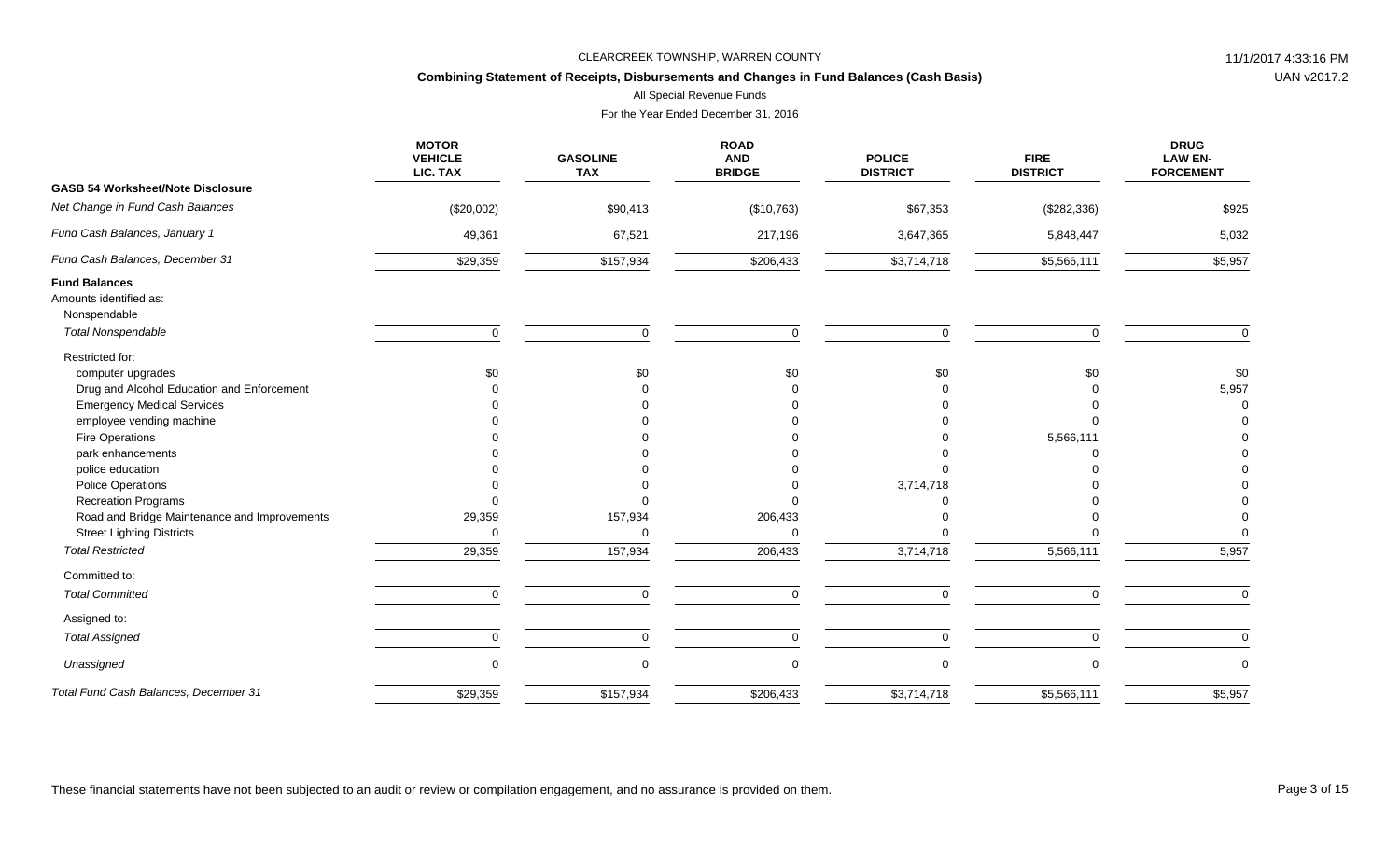## **Combining Statement of Receipts, Disbursements and Changes in Fund Balances (Cash Basis)**

All Special Revenue Funds

|                                                                                                                                                                                                                                                                           | <b>MOTOR</b><br><b>VEHICLE</b><br>LIC. TAX | <b>GASOLINE</b><br><b>TAX</b> | <b>ROAD</b><br><b>AND</b><br><b>BRIDGE</b> | <b>POLICE</b><br><b>DISTRICT</b> | <b>FIRE</b><br><b>DISTRICT</b> | <b>DRUG</b><br><b>LAW EN-</b><br><b>FORCEMENT</b> |
|---------------------------------------------------------------------------------------------------------------------------------------------------------------------------------------------------------------------------------------------------------------------------|--------------------------------------------|-------------------------------|--------------------------------------------|----------------------------------|--------------------------------|---------------------------------------------------|
| <b>GASB 54 Worksheet/Note Disclosure</b>                                                                                                                                                                                                                                  |                                            |                               |                                            |                                  |                                |                                                   |
| Net Change in Fund Cash Balances                                                                                                                                                                                                                                          | (\$20,002)                                 | \$90,413                      | (\$10,763)                                 | \$67,353                         | (\$282,336)                    | \$925                                             |
| Fund Cash Balances, January 1                                                                                                                                                                                                                                             | 49,361                                     | 67,521                        | 217,196                                    | 3,647,365                        | 5,848,447                      | 5,032                                             |
| Fund Cash Balances, December 31                                                                                                                                                                                                                                           | \$29,359                                   | \$157,934                     | \$206,433                                  | \$3,714,718                      | \$5,566,111                    | \$5,957                                           |
| <b>Fund Balances</b><br>Amounts identified as:<br>Nonspendable                                                                                                                                                                                                            |                                            |                               |                                            |                                  |                                |                                                   |
| <b>Total Nonspendable</b>                                                                                                                                                                                                                                                 | $\mathbf 0$                                | $\mathbf 0$                   | $\Omega$                                   | $\mathbf 0$                      | $\Omega$                       | $\mathbf 0$                                       |
| Restricted for:<br>computer upgrades<br>Drug and Alcohol Education and Enforcement<br><b>Emergency Medical Services</b><br>employee vending machine<br>Fire Operations<br>park enhancements<br>police education<br><b>Police Operations</b><br><b>Recreation Programs</b> | \$0                                        | \$0                           | \$0                                        | \$0<br>3,714,718                 | \$0<br>5,566,111               | \$0<br>5,957                                      |
| Road and Bridge Maintenance and Improvements                                                                                                                                                                                                                              | 29,359                                     | 157,934                       | 206,433                                    |                                  |                                |                                                   |
| <b>Street Lighting Districts</b>                                                                                                                                                                                                                                          | 0                                          | $\Omega$                      | $\Omega$                                   |                                  |                                |                                                   |
| <b>Total Restricted</b>                                                                                                                                                                                                                                                   | 29,359                                     | 157,934                       | 206,433                                    | 3,714,718                        | 5,566,111                      | 5,957                                             |
| Committed to:                                                                                                                                                                                                                                                             |                                            |                               |                                            |                                  |                                |                                                   |
| <b>Total Committed</b>                                                                                                                                                                                                                                                    | $\Omega$                                   | $\Omega$                      | $\Omega$                                   | $\Omega$                         | $\Omega$                       | $\Omega$                                          |
| Assigned to:                                                                                                                                                                                                                                                              |                                            |                               |                                            |                                  |                                |                                                   |
| <b>Total Assigned</b>                                                                                                                                                                                                                                                     | 0                                          | $\mathbf 0$                   | $\mathbf 0$                                | 0                                | 0                              | $\Omega$                                          |
| Unassigned                                                                                                                                                                                                                                                                | 0                                          | $\mathbf 0$                   |                                            | $\mathbf 0$                      | $\Omega$                       | $\mathbf 0$                                       |
| Total Fund Cash Balances, December 31                                                                                                                                                                                                                                     | \$29,359                                   | \$157,934                     | \$206,433                                  | \$3,714,718                      | \$5,566,111                    | \$5,957                                           |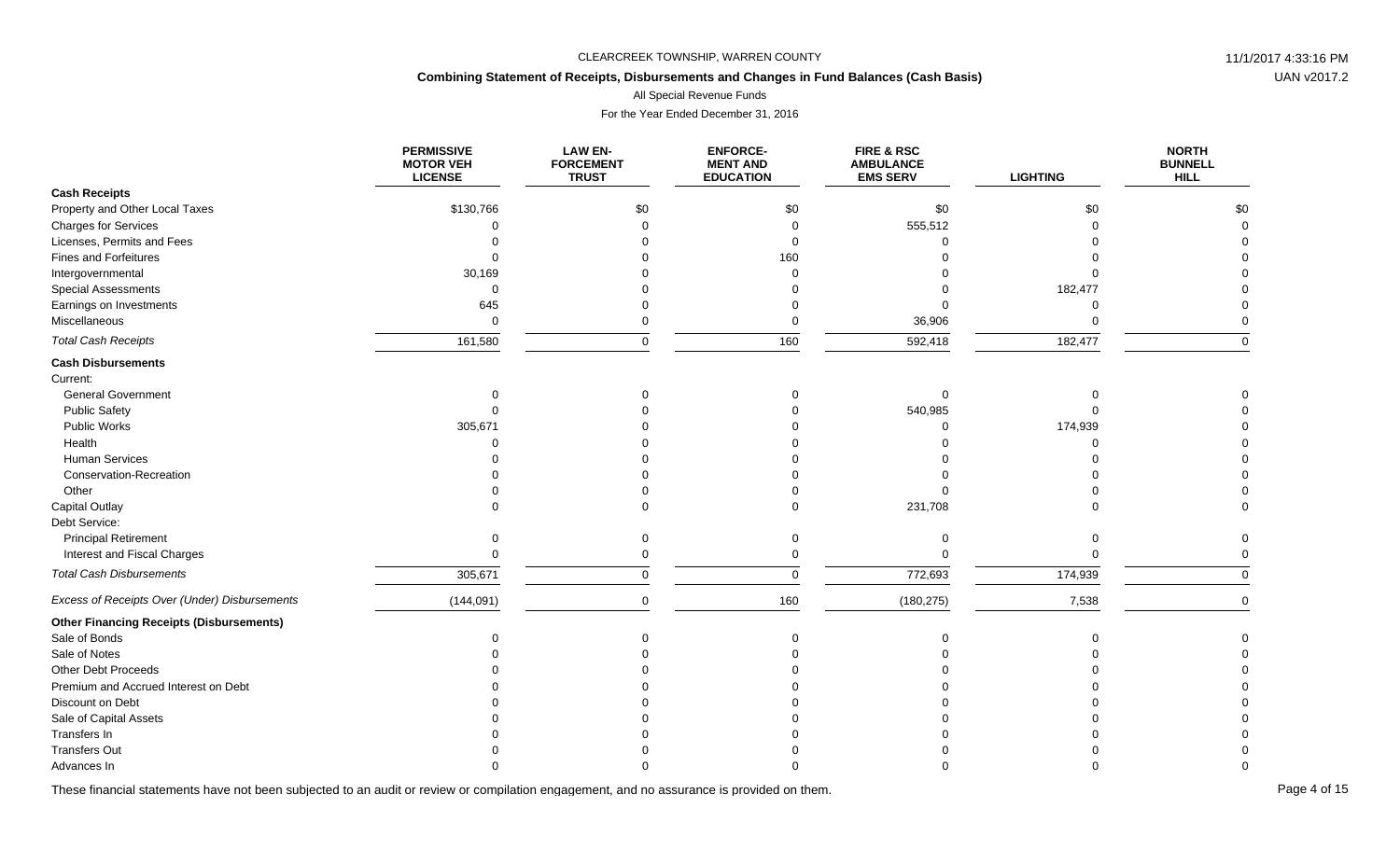## **Combining Statement of Receipts, Disbursements and Changes in Fund Balances (Cash Basis)**

All Special Revenue Funds

For the Year Ended December 31, 2016

|                                                 | <b>PERMISSIVE</b><br><b>MOTOR VEH</b><br><b>LICENSE</b> | <b>LAW EN-</b><br><b>FORCEMENT</b><br><b>TRUST</b> | <b>ENFORCE-</b><br><b>MENT AND</b><br><b>EDUCATION</b> | <b>FIRE &amp; RSC</b><br><b>AMBULANCE</b><br><b>EMS SERV</b> | <b>LIGHTING</b> | <b>NORTH</b><br><b>BUNNELL</b><br><b>HILL</b> |
|-------------------------------------------------|---------------------------------------------------------|----------------------------------------------------|--------------------------------------------------------|--------------------------------------------------------------|-----------------|-----------------------------------------------|
| <b>Cash Receipts</b>                            |                                                         |                                                    |                                                        |                                                              |                 |                                               |
| Property and Other Local Taxes                  | \$130,766                                               | \$0                                                | \$0                                                    | \$0                                                          | \$0             | \$0                                           |
| <b>Charges for Services</b>                     |                                                         |                                                    | $\Omega$                                               | 555,512                                                      | $\Omega$        |                                               |
| Licenses, Permits and Fees                      |                                                         |                                                    | $\Omega$                                               |                                                              |                 |                                               |
| <b>Fines and Forfeitures</b>                    |                                                         |                                                    | 160                                                    |                                                              |                 |                                               |
| Intergovernmental                               | 30,169                                                  |                                                    | $\Omega$                                               |                                                              |                 |                                               |
| <b>Special Assessments</b>                      | $\cap$                                                  |                                                    |                                                        |                                                              | 182,477         |                                               |
| Earnings on Investments                         | 645                                                     |                                                    |                                                        |                                                              | $\Omega$        |                                               |
| Miscellaneous                                   | $\mathbf 0$                                             |                                                    | $\mathbf 0$                                            | 36,906                                                       | $\Omega$        |                                               |
| <b>Total Cash Receipts</b>                      | 161,580                                                 | $\Omega$                                           | 160                                                    | 592,418                                                      | 182,477         | $\Omega$                                      |
| <b>Cash Disbursements</b>                       |                                                         |                                                    |                                                        |                                                              |                 |                                               |
| Current:                                        |                                                         |                                                    |                                                        |                                                              |                 |                                               |
| <b>General Government</b>                       |                                                         |                                                    |                                                        | $\Omega$                                                     |                 |                                               |
| <b>Public Safety</b>                            |                                                         |                                                    |                                                        | 540,985                                                      |                 |                                               |
| Public Works                                    | 305,671                                                 |                                                    |                                                        |                                                              | 174,939         |                                               |
| Health                                          |                                                         |                                                    |                                                        |                                                              | $\Omega$        |                                               |
| Human Services                                  |                                                         |                                                    |                                                        |                                                              |                 |                                               |
| Conservation-Recreation                         |                                                         |                                                    |                                                        |                                                              |                 |                                               |
| Other                                           |                                                         |                                                    |                                                        |                                                              |                 |                                               |
| Capital Outlay                                  |                                                         |                                                    |                                                        | 231,708                                                      |                 |                                               |
| Debt Service:                                   |                                                         |                                                    |                                                        |                                                              |                 |                                               |
| <b>Principal Retirement</b>                     |                                                         |                                                    |                                                        | $\Omega$                                                     | $\Omega$        | $\Omega$                                      |
| Interest and Fiscal Charges                     |                                                         |                                                    | $\Omega$                                               | $\Omega$                                                     | $\Omega$        |                                               |
| <b>Total Cash Disbursements</b>                 | 305,671                                                 | $\Omega$                                           | $\Omega$                                               | 772,693                                                      | 174,939         | $\Omega$                                      |
| Excess of Receipts Over (Under) Disbursements   | (144, 091)                                              | $\Omega$                                           | 160                                                    | (180, 275)                                                   | 7,538           | $\Omega$                                      |
| <b>Other Financing Receipts (Disbursements)</b> |                                                         |                                                    |                                                        |                                                              |                 |                                               |
| Sale of Bonds                                   |                                                         |                                                    |                                                        |                                                              | $\Omega$        |                                               |
| Sale of Notes                                   |                                                         |                                                    |                                                        |                                                              |                 |                                               |
| Other Debt Proceeds                             |                                                         |                                                    |                                                        |                                                              |                 |                                               |
| Premium and Accrued Interest on Debt            |                                                         |                                                    |                                                        |                                                              |                 |                                               |
| Discount on Debt                                |                                                         |                                                    |                                                        |                                                              |                 |                                               |
| Sale of Capital Assets                          |                                                         |                                                    |                                                        |                                                              |                 |                                               |
| Transfers In                                    |                                                         |                                                    |                                                        |                                                              |                 |                                               |
| <b>Transfers Out</b>                            |                                                         |                                                    |                                                        |                                                              |                 |                                               |
| Advances In                                     |                                                         |                                                    |                                                        |                                                              |                 |                                               |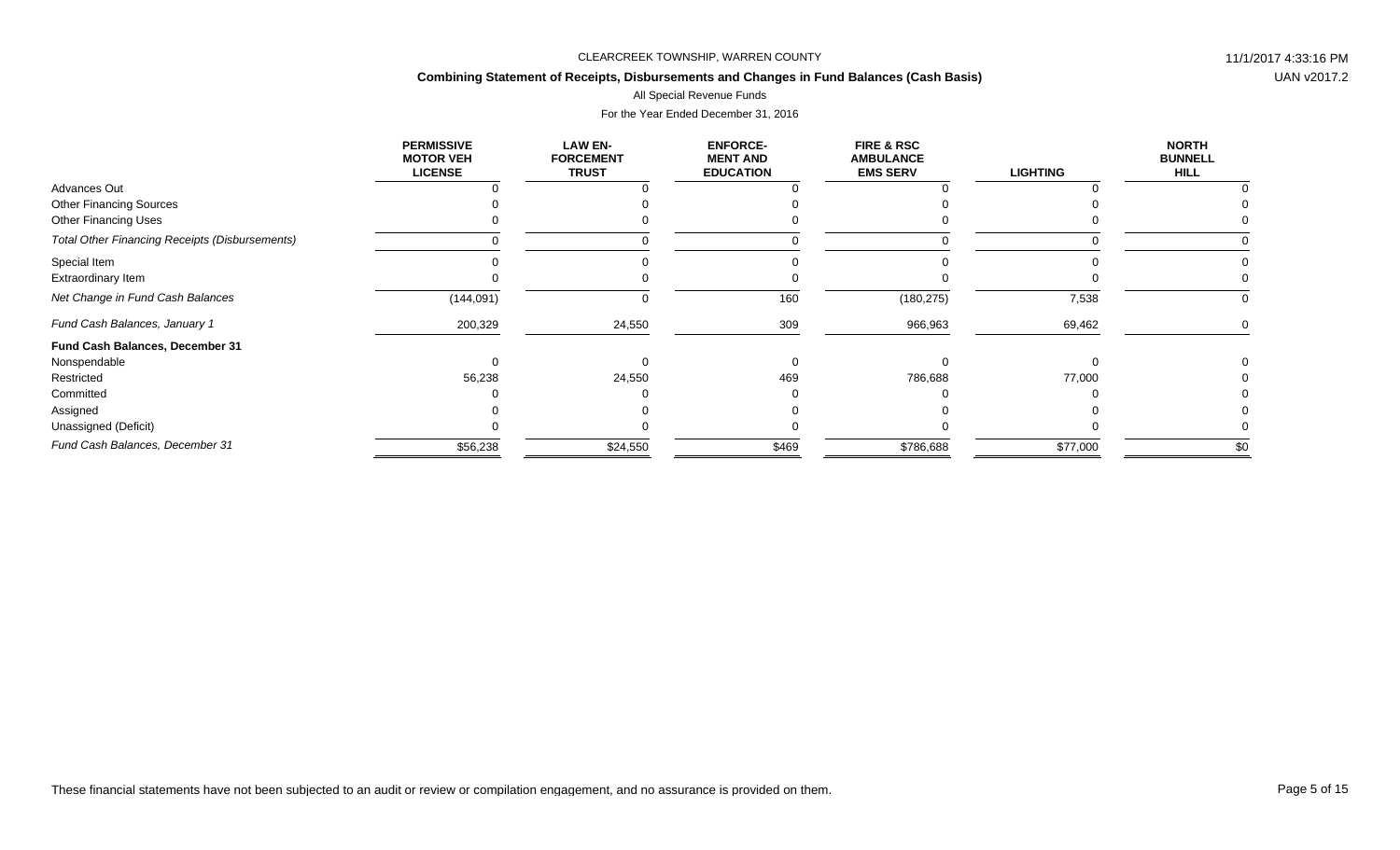## **Combining Statement of Receipts, Disbursements and Changes in Fund Balances (Cash Basis)**

### All Special Revenue Funds

|                                                       | <b>PERMISSIVE</b><br><b>MOTOR VEH</b><br><b>LICENSE</b> | <b>LAW EN-</b><br><b>FORCEMENT</b><br><b>TRUST</b> | <b>ENFORCE-</b><br><b>MENT AND</b><br><b>EDUCATION</b> | <b>FIRE &amp; RSC</b><br><b>AMBULANCE</b><br><b>EMS SERV</b> | <b>LIGHTING</b> | <b>NORTH</b><br><b>BUNNELL</b><br><b>HILL</b> |
|-------------------------------------------------------|---------------------------------------------------------|----------------------------------------------------|--------------------------------------------------------|--------------------------------------------------------------|-----------------|-----------------------------------------------|
| Advances Out                                          |                                                         |                                                    |                                                        |                                                              |                 |                                               |
| <b>Other Financing Sources</b>                        |                                                         |                                                    |                                                        |                                                              |                 |                                               |
| <b>Other Financing Uses</b>                           |                                                         |                                                    |                                                        |                                                              |                 |                                               |
| <b>Total Other Financing Receipts (Disbursements)</b> |                                                         |                                                    |                                                        |                                                              |                 |                                               |
| Special Item                                          |                                                         |                                                    |                                                        |                                                              |                 |                                               |
| Extraordinary Item                                    |                                                         |                                                    |                                                        |                                                              |                 |                                               |
| Net Change in Fund Cash Balances                      | (144, 091)                                              |                                                    | 160                                                    | (180, 275)                                                   | 7,538           | 0                                             |
| Fund Cash Balances, January 1                         | 200,329                                                 | 24,550                                             | 309                                                    | 966,963                                                      | 69,462          |                                               |
| Fund Cash Balances, December 31                       |                                                         |                                                    |                                                        |                                                              |                 |                                               |
| Nonspendable                                          |                                                         |                                                    |                                                        |                                                              |                 |                                               |
| Restricted                                            | 56,238                                                  | 24,550                                             | 469                                                    | 786,688                                                      | 77,000          |                                               |
| Committed                                             |                                                         |                                                    |                                                        |                                                              |                 |                                               |
| Assigned                                              |                                                         |                                                    |                                                        |                                                              |                 |                                               |
| Unassigned (Deficit)                                  |                                                         |                                                    |                                                        |                                                              |                 |                                               |
| Fund Cash Balances, December 31                       | \$56,238                                                | \$24,550                                           | \$469                                                  | \$786,688                                                    | \$77,000        | \$0                                           |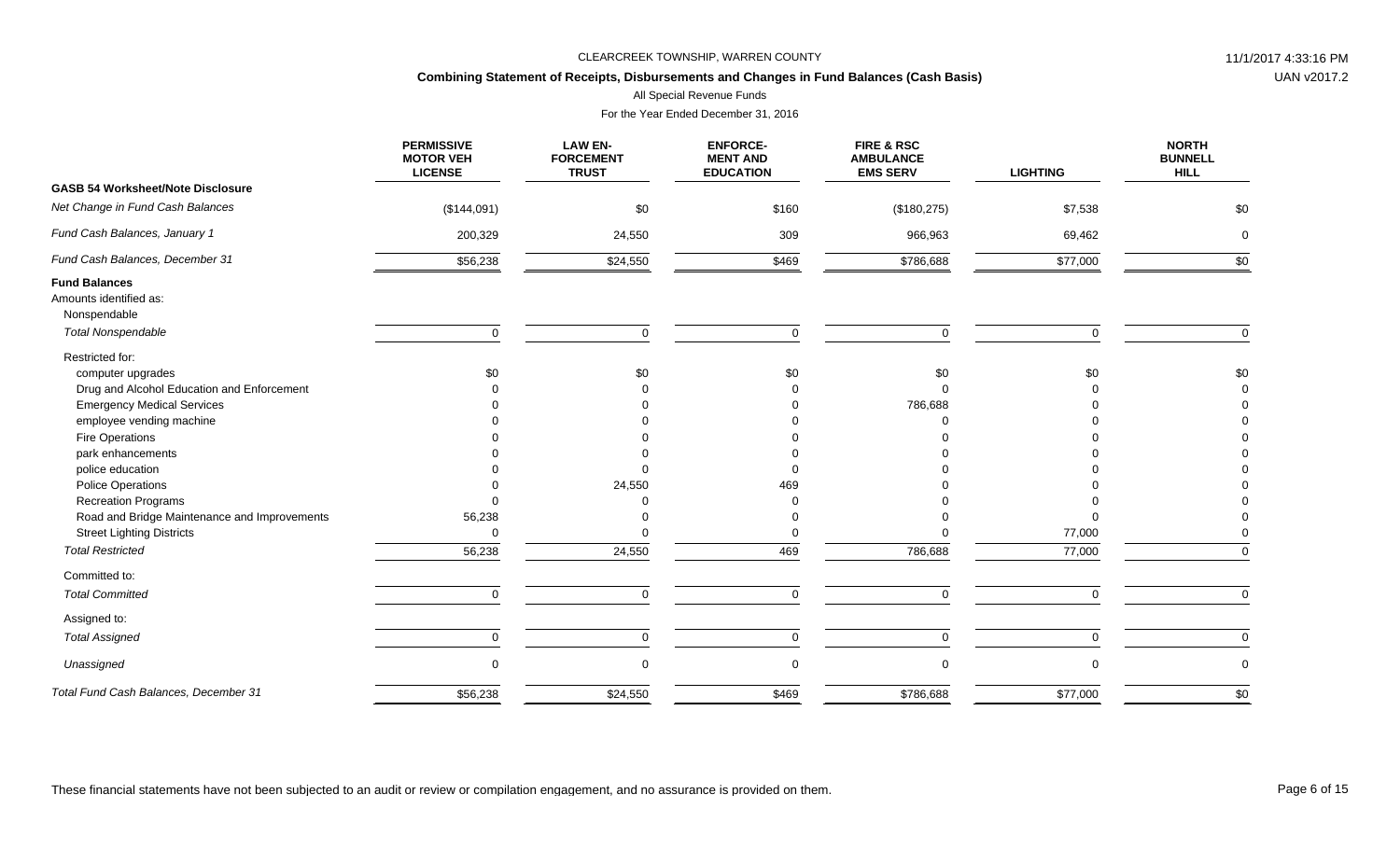## **Combining Statement of Receipts, Disbursements and Changes in Fund Balances (Cash Basis)**

All Special Revenue Funds

| <b>PERMISSIVE</b><br><b>MOTOR VEH</b><br><b>LICENSE</b> | <b>LAW EN-</b><br><b>FORCEMENT</b><br><b>TRUST</b> | <b>ENFORCE-</b><br><b>MENT AND</b><br><b>EDUCATION</b> | FIRE & RSC<br><b>AMBULANCE</b><br><b>EMS SERV</b> | <b>LIGHTING</b> | <b>NORTH</b><br><b>BUNNELL</b><br><b>HILL</b> |
|---------------------------------------------------------|----------------------------------------------------|--------------------------------------------------------|---------------------------------------------------|-----------------|-----------------------------------------------|
|                                                         |                                                    |                                                        |                                                   |                 |                                               |
| (\$144,091)                                             | \$0                                                | \$160                                                  | (\$180,275)                                       | \$7,538         | \$0                                           |
| 200,329                                                 | 24,550                                             | 309                                                    | 966,963                                           | 69,462          | $\mathbf 0$                                   |
| \$56,238                                                | \$24,550                                           | \$469                                                  | \$786,688                                         | \$77,000        | \$0                                           |
|                                                         |                                                    |                                                        |                                                   |                 |                                               |
|                                                         |                                                    |                                                        |                                                   |                 |                                               |
|                                                         |                                                    |                                                        |                                                   |                 |                                               |
| $\mathbf 0$                                             | $\Omega$                                           | $\mathbf 0$                                            | $\mathbf 0$                                       |                 | $\mathbf 0$                                   |
|                                                         |                                                    |                                                        |                                                   |                 |                                               |
| \$0                                                     | \$0                                                | \$0                                                    | \$0                                               | \$0             | \$0                                           |
|                                                         |                                                    |                                                        | $\Omega$                                          |                 |                                               |
|                                                         |                                                    |                                                        | 786,688                                           |                 |                                               |
|                                                         |                                                    |                                                        |                                                   |                 |                                               |
|                                                         |                                                    |                                                        |                                                   |                 |                                               |
|                                                         |                                                    |                                                        |                                                   |                 |                                               |
|                                                         |                                                    |                                                        |                                                   |                 |                                               |
|                                                         |                                                    | 469                                                    |                                                   |                 |                                               |
|                                                         |                                                    |                                                        |                                                   |                 |                                               |
| 56,238                                                  |                                                    |                                                        |                                                   |                 |                                               |
| 0                                                       |                                                    |                                                        |                                                   | 77,000          |                                               |
| 56,238                                                  | 24,550                                             | 469                                                    | 786,688                                           | 77,000          |                                               |
|                                                         |                                                    |                                                        |                                                   |                 |                                               |
| $\mathbf 0$                                             | $\Omega$                                           | $\mathbf 0$                                            | $\mathbf 0$                                       | $\Omega$        | $\Omega$                                      |
|                                                         |                                                    |                                                        |                                                   |                 |                                               |
| 0                                                       | $\mathbf 0$                                        | $\pmb{0}$                                              | 0                                                 | 0               | $\mathbf 0$                                   |
| 0                                                       | $\Omega$                                           | $\mathbf 0$                                            | 0                                                 |                 | $\mathbf 0$                                   |
|                                                         | \$24,550                                           |                                                        |                                                   |                 | \$0                                           |
|                                                         | \$56,238                                           | 24,550                                                 |                                                   |                 | \$469<br>\$786,688<br>\$77,000                |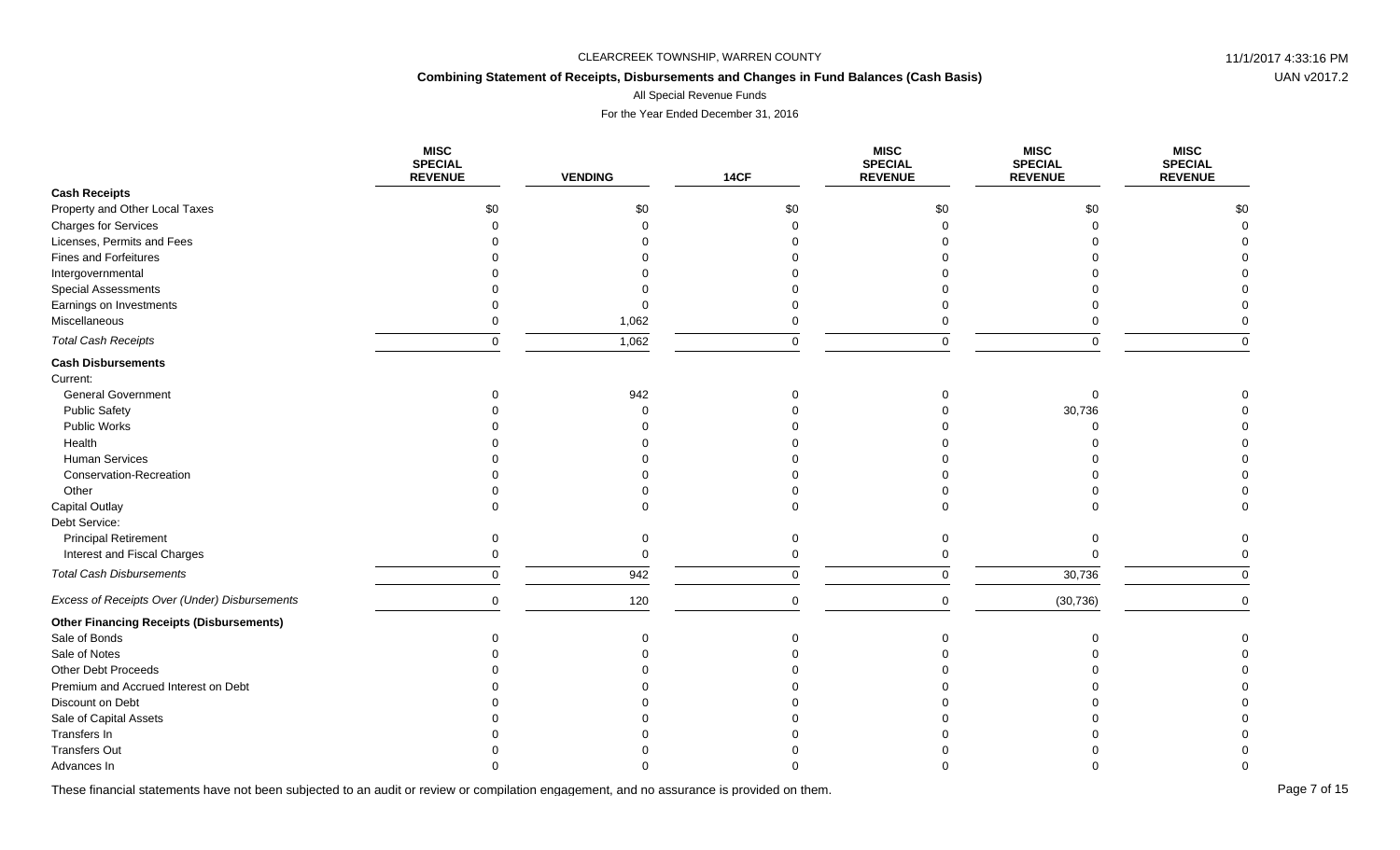## **Combining Statement of Receipts, Disbursements and Changes in Fund Balances (Cash Basis)**

All Special Revenue Funds

For the Year Ended December 31, 2016

|                                                 | <b>MISC</b><br><b>SPECIAL</b><br><b>REVENUE</b> | <b>VENDING</b> | <b>14CF</b> | <b>MISC</b><br><b>SPECIAL</b><br><b>REVENUE</b> | <b>MISC</b><br><b>SPECIAL</b><br><b>REVENUE</b> | <b>MISC</b><br><b>SPECIAL</b><br><b>REVENUE</b> |
|-------------------------------------------------|-------------------------------------------------|----------------|-------------|-------------------------------------------------|-------------------------------------------------|-------------------------------------------------|
| <b>Cash Receipts</b>                            |                                                 |                |             |                                                 |                                                 |                                                 |
| Property and Other Local Taxes                  | \$0                                             | \$0            | \$0         | \$0                                             | \$0                                             | \$0                                             |
| <b>Charges for Services</b>                     |                                                 |                |             | $\Omega$                                        |                                                 |                                                 |
| Licenses, Permits and Fees                      |                                                 |                |             |                                                 |                                                 |                                                 |
| Fines and Forfeitures                           |                                                 |                |             |                                                 |                                                 |                                                 |
| Intergovernmental                               |                                                 |                |             |                                                 |                                                 |                                                 |
| <b>Special Assessments</b>                      |                                                 |                |             |                                                 |                                                 |                                                 |
| Earnings on Investments                         |                                                 |                |             |                                                 |                                                 |                                                 |
| Miscellaneous                                   |                                                 | 1,062          |             |                                                 |                                                 |                                                 |
| <b>Total Cash Receipts</b>                      | $\Omega$                                        | 1,062          | $\Omega$    | $\Omega$                                        | $\Omega$                                        | $\Omega$                                        |
| <b>Cash Disbursements</b>                       |                                                 |                |             |                                                 |                                                 |                                                 |
| Current:                                        |                                                 |                |             |                                                 |                                                 |                                                 |
| <b>General Government</b>                       |                                                 | 942            |             |                                                 | $\Omega$                                        |                                                 |
| <b>Public Safety</b>                            |                                                 |                |             |                                                 | 30,736                                          |                                                 |
| Public Works                                    |                                                 |                |             |                                                 |                                                 |                                                 |
| Health                                          |                                                 |                |             |                                                 |                                                 |                                                 |
| <b>Human Services</b>                           |                                                 |                |             |                                                 |                                                 |                                                 |
| Conservation-Recreation                         |                                                 |                |             |                                                 |                                                 |                                                 |
| Other                                           |                                                 |                |             |                                                 |                                                 |                                                 |
| <b>Capital Outlay</b>                           |                                                 |                |             |                                                 |                                                 |                                                 |
| Debt Service:                                   |                                                 |                |             |                                                 |                                                 |                                                 |
| <b>Principal Retirement</b>                     | $\Omega$                                        |                |             | $\Omega$                                        |                                                 |                                                 |
| Interest and Fiscal Charges                     |                                                 | $\Omega$       |             |                                                 |                                                 |                                                 |
| <b>Total Cash Disbursements</b>                 | $\mathbf 0$                                     | 942            | 0           | 0                                               | 30,736                                          | $\Omega$                                        |
| Excess of Receipts Over (Under) Disbursements   | $\mathbf 0$                                     | 120            | $\mathbf 0$ | $\mathbf 0$                                     | (30, 736)                                       | $\Omega$                                        |
| <b>Other Financing Receipts (Disbursements)</b> |                                                 |                |             |                                                 |                                                 |                                                 |
| Sale of Bonds                                   |                                                 |                |             |                                                 |                                                 |                                                 |
| Sale of Notes                                   |                                                 |                |             |                                                 |                                                 |                                                 |
| Other Debt Proceeds                             |                                                 |                |             |                                                 |                                                 |                                                 |
| Premium and Accrued Interest on Debt            |                                                 |                |             |                                                 |                                                 |                                                 |
| Discount on Debt                                |                                                 |                |             |                                                 |                                                 |                                                 |
| Sale of Capital Assets                          |                                                 |                |             |                                                 |                                                 |                                                 |
| Transfers In                                    |                                                 |                |             |                                                 |                                                 |                                                 |
| <b>Transfers Out</b>                            |                                                 |                |             |                                                 |                                                 |                                                 |
| Advances In                                     |                                                 |                |             |                                                 |                                                 |                                                 |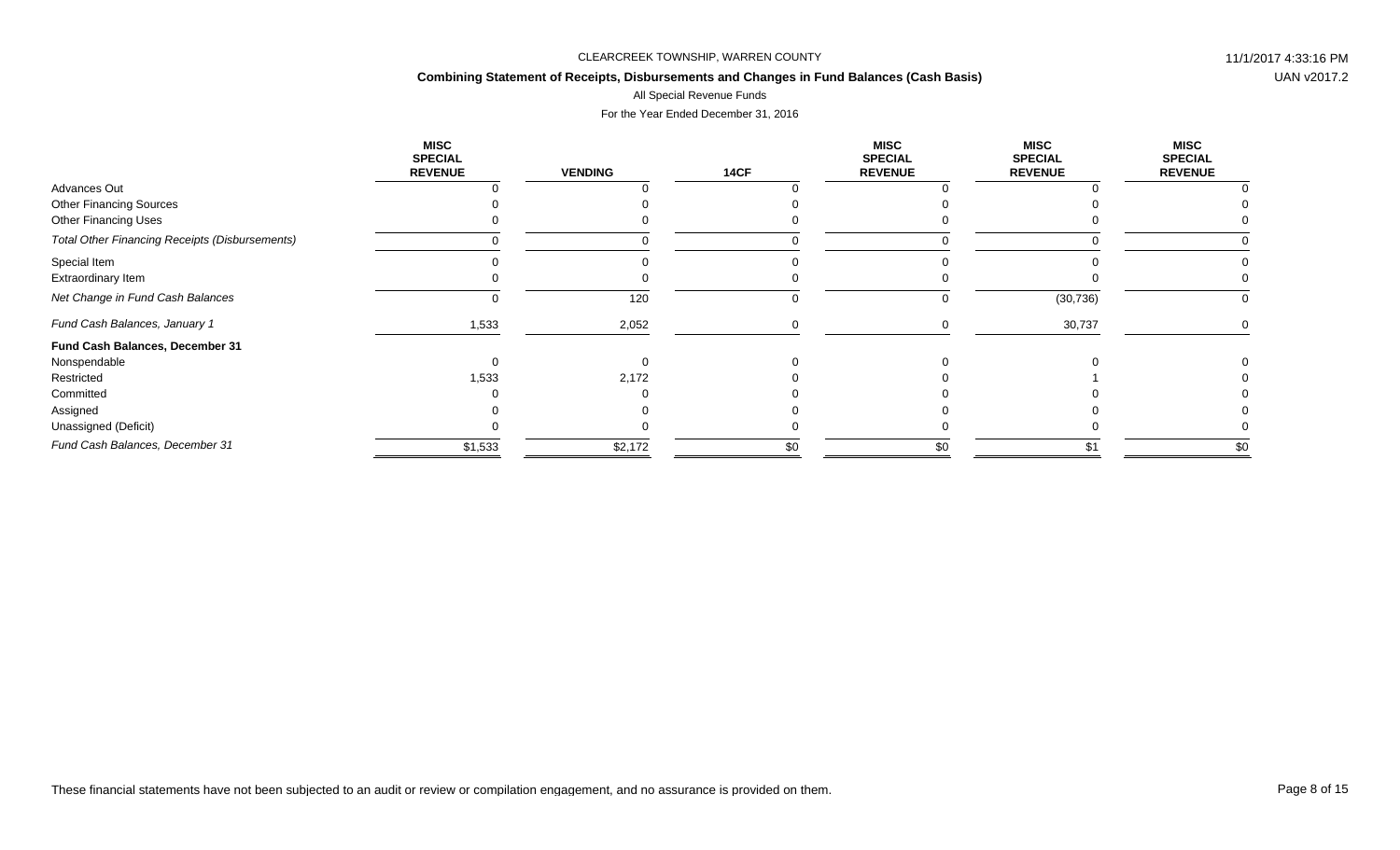## **Combining Statement of Receipts, Disbursements and Changes in Fund Balances (Cash Basis)**

# All Special Revenue Funds

|                                                       | <b>MISC</b><br><b>SPECIAL</b><br><b>REVENUE</b> | <b>VENDING</b> | <b>14CF</b> | <b>MISC</b><br><b>SPECIAL</b><br><b>REVENUE</b> | <b>MISC</b><br><b>SPECIAL</b><br><b>REVENUE</b> | <b>MISC</b><br><b>SPECIAL</b><br><b>REVENUE</b> |
|-------------------------------------------------------|-------------------------------------------------|----------------|-------------|-------------------------------------------------|-------------------------------------------------|-------------------------------------------------|
| Advances Out                                          |                                                 |                |             |                                                 |                                                 |                                                 |
| <b>Other Financing Sources</b>                        |                                                 |                |             |                                                 |                                                 |                                                 |
| <b>Other Financing Uses</b>                           |                                                 |                |             |                                                 |                                                 |                                                 |
| <b>Total Other Financing Receipts (Disbursements)</b> |                                                 |                |             |                                                 |                                                 |                                                 |
| Special Item                                          |                                                 |                |             |                                                 |                                                 |                                                 |
| Extraordinary Item                                    |                                                 |                |             |                                                 |                                                 |                                                 |
| Net Change in Fund Cash Balances                      |                                                 | 120            |             | O                                               | (30, 736)                                       |                                                 |
| Fund Cash Balances, January 1                         | 1,533                                           | 2,052          |             |                                                 | 30,737                                          |                                                 |
| Fund Cash Balances, December 31                       |                                                 |                |             |                                                 |                                                 |                                                 |
| Nonspendable                                          |                                                 |                |             |                                                 |                                                 |                                                 |
| Restricted                                            | 1,533                                           | 2,172          |             |                                                 |                                                 |                                                 |
| Committed                                             |                                                 |                |             |                                                 |                                                 |                                                 |
| Assigned                                              |                                                 |                |             |                                                 |                                                 |                                                 |
| Unassigned (Deficit)                                  |                                                 |                |             |                                                 |                                                 |                                                 |
| Fund Cash Balances, December 31                       | \$1,533                                         | \$2,172        | \$0         | \$0                                             | \$1                                             | \$0                                             |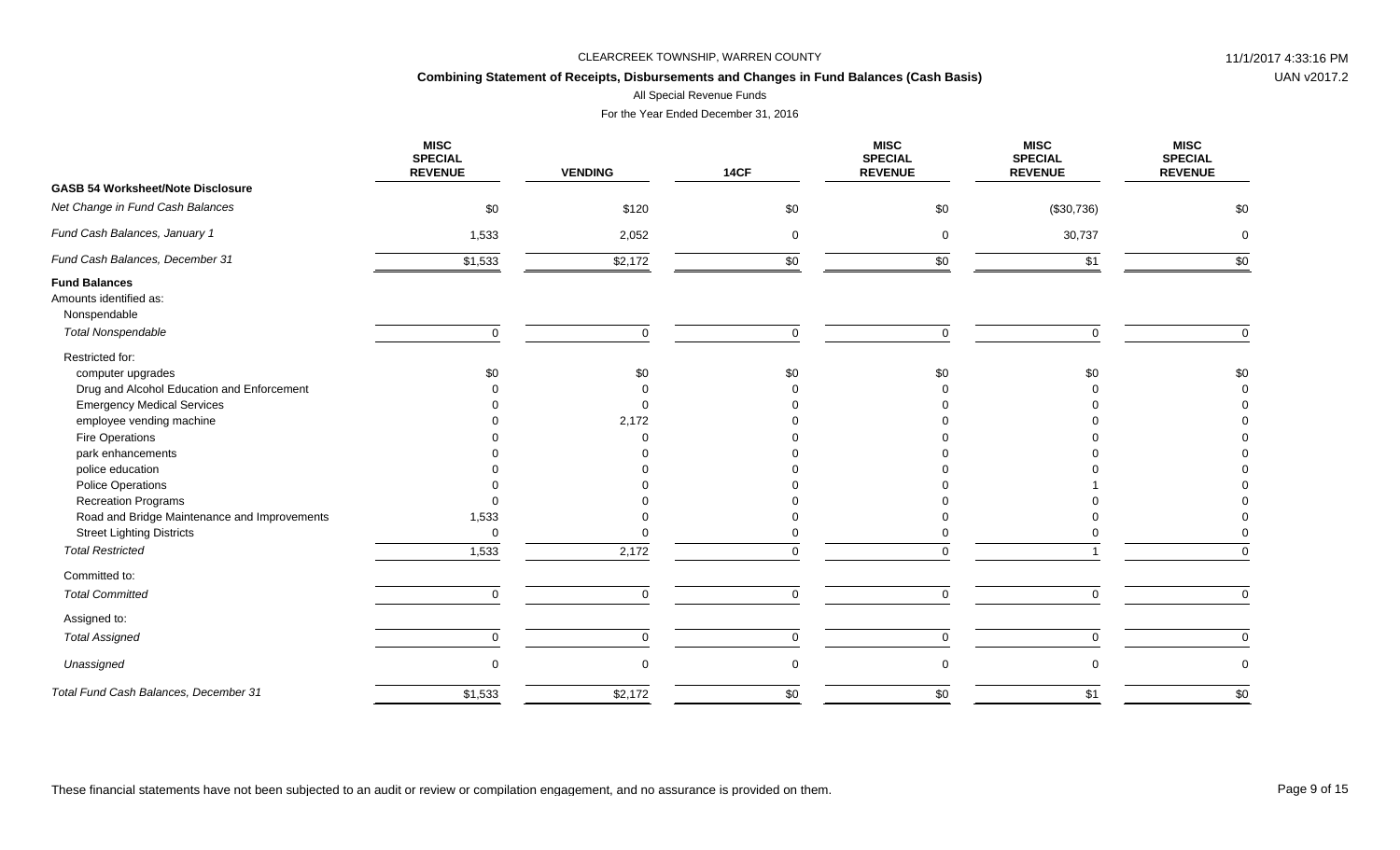## **Combining Statement of Receipts, Disbursements and Changes in Fund Balances (Cash Basis)**

All Special Revenue Funds

|                                                                | <b>MISC</b><br><b>SPECIAL</b><br><b>REVENUE</b> | <b>VENDING</b> | <b>14CF</b> | <b>MISC</b><br><b>SPECIAL</b><br><b>REVENUE</b> | <b>MISC</b><br><b>SPECIAL</b><br><b>REVENUE</b> | <b>MISC</b><br><b>SPECIAL</b><br><b>REVENUE</b> |
|----------------------------------------------------------------|-------------------------------------------------|----------------|-------------|-------------------------------------------------|-------------------------------------------------|-------------------------------------------------|
| <b>GASB 54 Worksheet/Note Disclosure</b>                       |                                                 |                |             |                                                 |                                                 |                                                 |
| Net Change in Fund Cash Balances                               | \$0                                             | \$120          | \$0         | \$0                                             | (\$30,736)                                      | \$0                                             |
| Fund Cash Balances, January 1                                  | 1,533                                           | 2,052          | $\mathbf 0$ | $\mathbf 0$                                     | 30,737                                          | $\mathbf 0$                                     |
| Fund Cash Balances, December 31                                | \$1,533                                         | \$2,172        | \$0         | \$0                                             | \$1                                             | \$0                                             |
| <b>Fund Balances</b><br>Amounts identified as:<br>Nonspendable |                                                 |                |             |                                                 |                                                 |                                                 |
| <b>Total Nonspendable</b>                                      | $\mathbf 0$                                     | $\Omega$       | $\mathbf 0$ | $\mathbf 0$                                     | $\Omega$                                        | $\Omega$                                        |
| Restricted for:<br>computer upgrades                           | \$0                                             | \$0            | \$0         | \$0                                             | \$0                                             | \$0                                             |
| Drug and Alcohol Education and Enforcement                     |                                                 |                |             |                                                 |                                                 |                                                 |
| <b>Emergency Medical Services</b>                              |                                                 |                |             |                                                 |                                                 |                                                 |
| employee vending machine                                       |                                                 | 2,172          |             |                                                 |                                                 |                                                 |
| Fire Operations                                                |                                                 |                |             |                                                 |                                                 |                                                 |
| park enhancements                                              |                                                 |                |             |                                                 |                                                 |                                                 |
| police education                                               |                                                 |                |             |                                                 |                                                 |                                                 |
| Police Operations                                              |                                                 |                |             |                                                 |                                                 |                                                 |
| <b>Recreation Programs</b>                                     |                                                 |                |             |                                                 |                                                 |                                                 |
| Road and Bridge Maintenance and Improvements                   | 1,533                                           |                |             |                                                 |                                                 |                                                 |
| <b>Street Lighting Districts</b>                               | $\mathbf 0$                                     |                |             |                                                 |                                                 |                                                 |
| <b>Total Restricted</b>                                        | 1,533                                           | 2,172          | $\Omega$    | $\Omega$                                        |                                                 | $\Omega$                                        |
| Committed to:                                                  |                                                 |                |             |                                                 |                                                 |                                                 |
| <b>Total Committed</b>                                         | $\mathbf 0$                                     | $\mathbf 0$    | $\mathbf 0$ | $\mathbf 0$                                     | $\mathbf 0$                                     | $\Omega$                                        |
| Assigned to:                                                   |                                                 |                |             |                                                 |                                                 |                                                 |
| <b>Total Assigned</b>                                          | $\mathbf 0$                                     | $\mathbf 0$    | $\mathbf 0$ | $\mathbf 0$                                     | $\mathbf 0$                                     | $\mathbf 0$                                     |
| Unassigned                                                     | $\mathbf 0$                                     |                | $\pmb{0}$   | 0                                               | $\Omega$                                        | $\mathbf 0$                                     |
| Total Fund Cash Balances, December 31                          | \$1,533                                         | \$2,172        | \$0         | \$0                                             | \$1                                             | \$0                                             |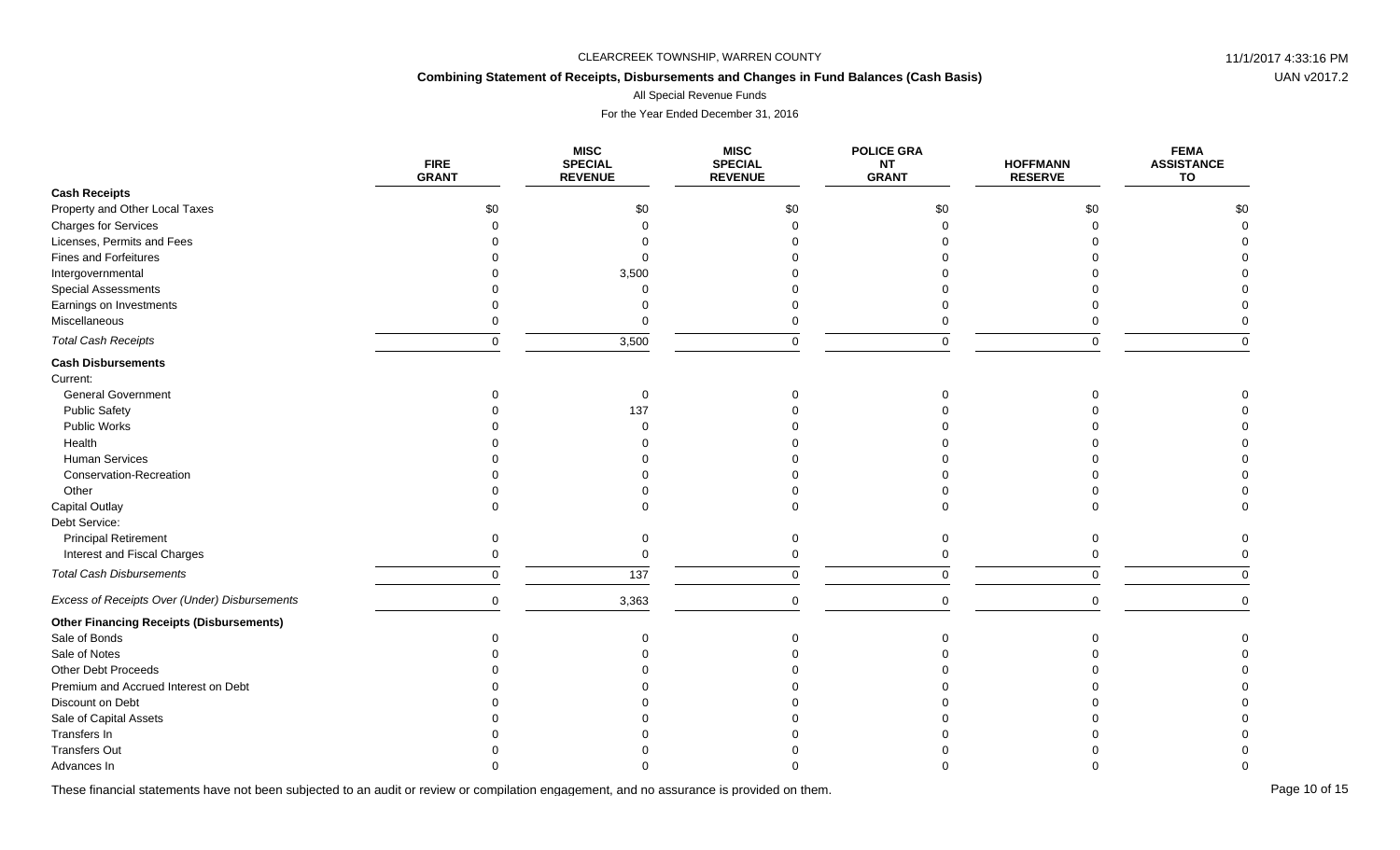## **Combining Statement of Receipts, Disbursements and Changes in Fund Balances (Cash Basis)**

All Special Revenue Funds

For the Year Ended December 31, 2016

|                                                 | <b>FIRE</b><br><b>GRANT</b> | <b>MISC</b><br><b>SPECIAL</b><br><b>REVENUE</b> | <b>MISC</b><br><b>SPECIAL</b><br><b>REVENUE</b> | <b>POLICE GRA</b><br>NT<br><b>GRANT</b> | <b>HOFFMANN</b><br><b>RESERVE</b> | <b>FEMA</b><br><b>ASSISTANCE</b><br>TO |
|-------------------------------------------------|-----------------------------|-------------------------------------------------|-------------------------------------------------|-----------------------------------------|-----------------------------------|----------------------------------------|
| <b>Cash Receipts</b>                            |                             |                                                 |                                                 |                                         |                                   |                                        |
| Property and Other Local Taxes                  | \$0                         | \$0                                             | \$0                                             | \$0                                     | \$0                               | \$0                                    |
| <b>Charges for Services</b>                     |                             |                                                 |                                                 |                                         |                                   |                                        |
| Licenses, Permits and Fees                      |                             |                                                 |                                                 |                                         |                                   |                                        |
| <b>Fines and Forfeitures</b>                    |                             |                                                 |                                                 |                                         |                                   |                                        |
| Intergovernmental                               |                             | 3,500                                           |                                                 |                                         |                                   |                                        |
| <b>Special Assessments</b>                      |                             |                                                 |                                                 |                                         |                                   |                                        |
| Earnings on Investments                         |                             |                                                 |                                                 |                                         |                                   |                                        |
| Miscellaneous                                   |                             |                                                 |                                                 |                                         |                                   |                                        |
| <b>Total Cash Receipts</b>                      | $\Omega$                    | 3,500                                           |                                                 |                                         | $\Omega$                          |                                        |
| <b>Cash Disbursements</b>                       |                             |                                                 |                                                 |                                         |                                   |                                        |
| Current:                                        |                             |                                                 |                                                 |                                         |                                   |                                        |
| <b>General Government</b>                       |                             |                                                 |                                                 |                                         |                                   |                                        |
| <b>Public Safety</b>                            |                             | 137                                             |                                                 |                                         |                                   |                                        |
| <b>Public Works</b>                             |                             |                                                 |                                                 |                                         |                                   |                                        |
| Health                                          |                             |                                                 |                                                 |                                         |                                   |                                        |
| Human Services                                  |                             |                                                 |                                                 |                                         |                                   |                                        |
| Conservation-Recreation                         |                             |                                                 |                                                 |                                         |                                   |                                        |
| Other                                           |                             |                                                 |                                                 |                                         |                                   |                                        |
| <b>Capital Outlay</b>                           |                             |                                                 |                                                 |                                         |                                   |                                        |
| Debt Service:                                   |                             |                                                 |                                                 |                                         |                                   |                                        |
| <b>Principal Retirement</b>                     |                             |                                                 |                                                 |                                         |                                   |                                        |
| Interest and Fiscal Charges                     |                             |                                                 |                                                 |                                         |                                   |                                        |
| <b>Total Cash Disbursements</b>                 | $\Omega$                    | 137                                             | $\Omega$                                        |                                         | $\Omega$                          |                                        |
| Excess of Receipts Over (Under) Disbursements   | $\Omega$                    | 3,363                                           | $\Omega$                                        | $\Omega$                                | $\Omega$                          |                                        |
| <b>Other Financing Receipts (Disbursements)</b> |                             |                                                 |                                                 |                                         |                                   |                                        |
| Sale of Bonds                                   |                             |                                                 |                                                 |                                         |                                   |                                        |
| Sale of Notes                                   |                             |                                                 |                                                 |                                         |                                   |                                        |
| <b>Other Debt Proceeds</b>                      |                             |                                                 |                                                 |                                         |                                   |                                        |
| Premium and Accrued Interest on Debt            |                             |                                                 |                                                 |                                         |                                   |                                        |
| Discount on Debt                                |                             |                                                 |                                                 |                                         |                                   |                                        |
| Sale of Capital Assets                          |                             |                                                 |                                                 |                                         |                                   |                                        |
| Transfers In                                    |                             |                                                 |                                                 |                                         |                                   |                                        |
| <b>Transfers Out</b>                            |                             |                                                 |                                                 |                                         |                                   |                                        |
| Advances In                                     |                             |                                                 |                                                 |                                         |                                   |                                        |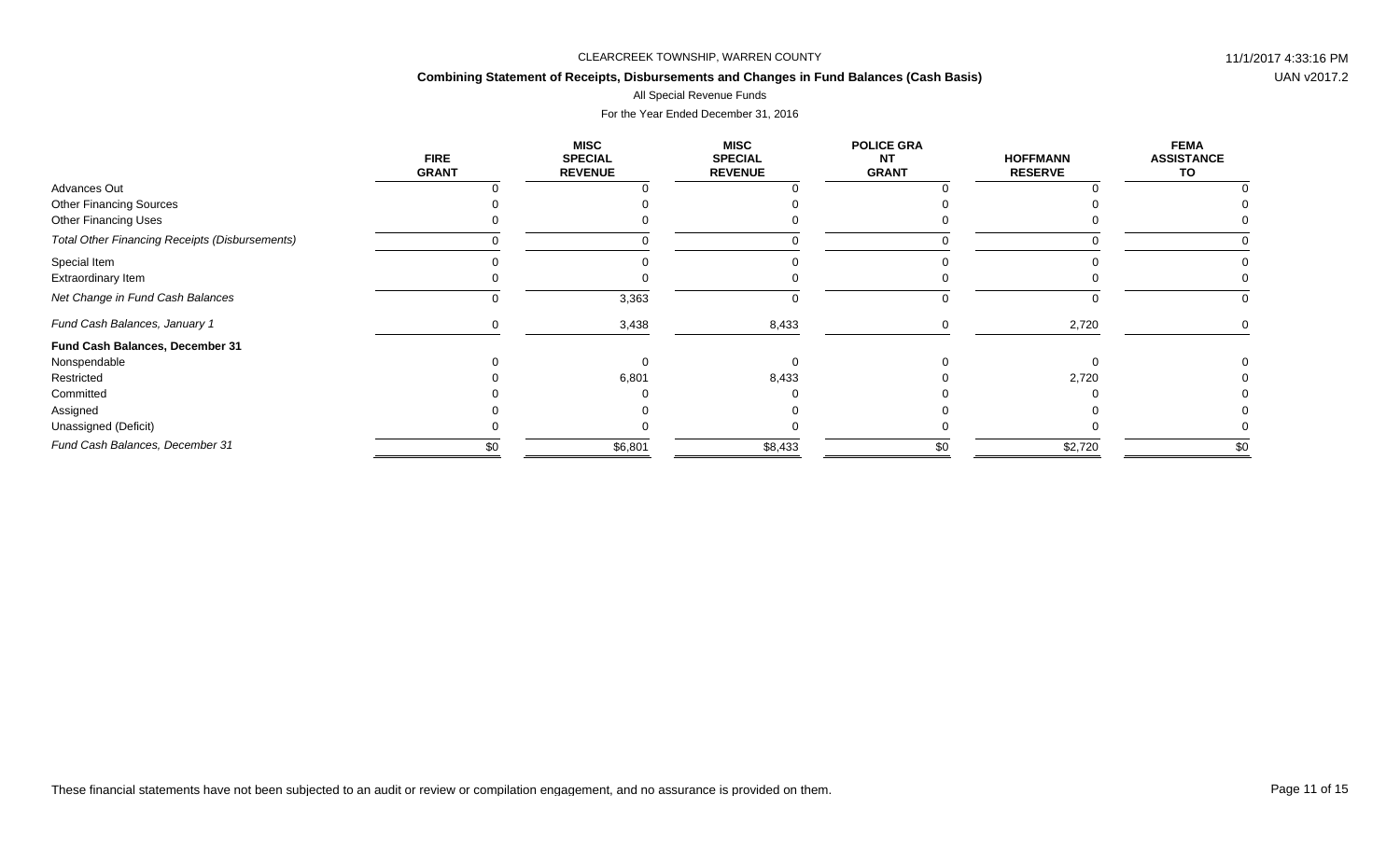## **Combining Statement of Receipts, Disbursements and Changes in Fund Balances (Cash Basis)**

### All Special Revenue Funds

|                                                       | <b>FIRE</b><br><b>GRANT</b> | <b>MISC</b><br><b>SPECIAL</b><br><b>REVENUE</b> | <b>MISC</b><br><b>SPECIAL</b><br><b>REVENUE</b> | <b>POLICE GRA</b><br><b>NT</b><br><b>GRANT</b> | <b>HOFFMANN</b><br><b>RESERVE</b> | <b>FEMA</b><br><b>ASSISTANCE</b><br>TO |
|-------------------------------------------------------|-----------------------------|-------------------------------------------------|-------------------------------------------------|------------------------------------------------|-----------------------------------|----------------------------------------|
| Advances Out                                          |                             |                                                 |                                                 |                                                |                                   |                                        |
| <b>Other Financing Sources</b>                        |                             |                                                 |                                                 |                                                |                                   |                                        |
| <b>Other Financing Uses</b>                           |                             |                                                 |                                                 |                                                |                                   |                                        |
| <b>Total Other Financing Receipts (Disbursements)</b> |                             |                                                 |                                                 |                                                |                                   |                                        |
| Special Item                                          |                             |                                                 |                                                 |                                                |                                   |                                        |
| Extraordinary Item                                    |                             |                                                 |                                                 |                                                |                                   |                                        |
| Net Change in Fund Cash Balances                      |                             | 3,363                                           |                                                 |                                                |                                   |                                        |
| Fund Cash Balances, January 1                         |                             | 3,438                                           | 8,433                                           |                                                | 2,720                             |                                        |
| Fund Cash Balances, December 31                       |                             |                                                 |                                                 |                                                |                                   |                                        |
| Nonspendable                                          |                             |                                                 |                                                 |                                                |                                   |                                        |
| Restricted                                            |                             | 6,801                                           | 8,433                                           |                                                | 2,720                             |                                        |
| Committed                                             |                             |                                                 |                                                 |                                                |                                   |                                        |
| Assigned                                              |                             |                                                 |                                                 |                                                |                                   |                                        |
| Unassigned (Deficit)                                  |                             |                                                 |                                                 |                                                |                                   |                                        |
| Fund Cash Balances, December 31                       | \$0                         | \$6,801                                         | \$8,433                                         | \$0                                            | \$2,720                           | \$0                                    |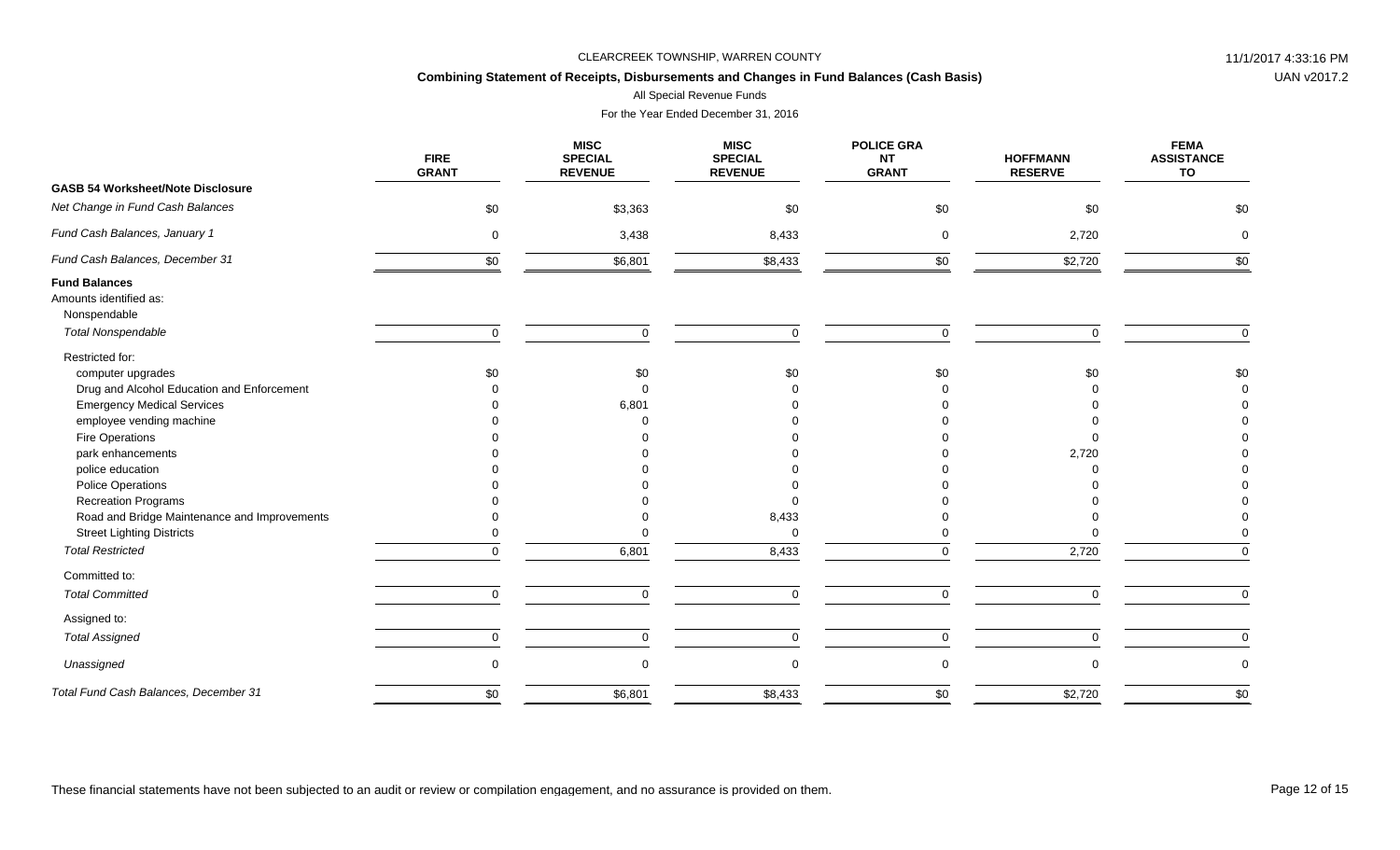## **Combining Statement of Receipts, Disbursements and Changes in Fund Balances (Cash Basis)**

All Special Revenue Funds

|                                                                                             | <b>FIRE</b><br><b>GRANT</b> | <b>MISC</b><br><b>SPECIAL</b><br><b>REVENUE</b> | <b>MISC</b><br><b>SPECIAL</b><br><b>REVENUE</b> | <b>POLICE GRA</b><br><b>NT</b><br><b>GRANT</b> | <b>HOFFMANN</b><br><b>RESERVE</b> | <b>FEMA</b><br><b>ASSISTANCE</b><br>TO |
|---------------------------------------------------------------------------------------------|-----------------------------|-------------------------------------------------|-------------------------------------------------|------------------------------------------------|-----------------------------------|----------------------------------------|
| <b>GASB 54 Worksheet/Note Disclosure</b>                                                    |                             |                                                 |                                                 |                                                |                                   |                                        |
| Net Change in Fund Cash Balances                                                            | \$0                         | \$3,363                                         | \$0                                             | \$0                                            | \$0                               | \$0                                    |
| Fund Cash Balances, January 1                                                               | $\mathbf 0$                 | 3,438                                           | 8,433                                           | $\mathbf 0$                                    | 2,720                             | $\Omega$                               |
| Fund Cash Balances, December 31                                                             | \$0                         | \$6,801                                         | \$8,433                                         | \$0                                            | \$2,720                           | \$0                                    |
| <b>Fund Balances</b><br>Amounts identified as:<br>Nonspendable<br><b>Total Nonspendable</b> | $\mathbf 0$                 | $\Omega$                                        |                                                 | $\Omega$                                       | $\Omega$                          | $\mathbf 0$                            |
|                                                                                             |                             |                                                 | $\mathbf 0$                                     |                                                |                                   |                                        |
| Restricted for:<br>computer upgrades                                                        | \$0                         | \$0                                             | \$0                                             | \$0                                            | \$0                               | \$0                                    |
| Drug and Alcohol Education and Enforcement                                                  |                             |                                                 |                                                 |                                                |                                   |                                        |
| <b>Emergency Medical Services</b>                                                           |                             | 6,801                                           |                                                 |                                                |                                   |                                        |
| employee vending machine                                                                    |                             |                                                 |                                                 |                                                |                                   |                                        |
| Fire Operations                                                                             |                             |                                                 |                                                 |                                                |                                   |                                        |
| park enhancements                                                                           |                             |                                                 |                                                 |                                                | 2,720                             |                                        |
| police education                                                                            |                             |                                                 |                                                 |                                                |                                   |                                        |
| <b>Police Operations</b>                                                                    |                             |                                                 |                                                 |                                                |                                   |                                        |
| <b>Recreation Programs</b>                                                                  |                             |                                                 | $\Omega$                                        |                                                |                                   |                                        |
| Road and Bridge Maintenance and Improvements                                                |                             |                                                 | 8,433                                           |                                                |                                   |                                        |
| <b>Street Lighting Districts</b>                                                            |                             |                                                 | $\mathbf 0$                                     |                                                |                                   |                                        |
| <b>Total Restricted</b>                                                                     | $\Omega$                    | 6,801                                           | 8,433                                           | $\Omega$                                       | 2,720                             | $\Omega$                               |
| Committed to:                                                                               |                             |                                                 |                                                 |                                                |                                   |                                        |
| <b>Total Committed</b>                                                                      | $\Omega$                    | $\Omega$                                        | $\mathsf 0$                                     | $\Omega$                                       | $\Omega$                          | $\Omega$                               |
| Assigned to:                                                                                |                             |                                                 |                                                 |                                                |                                   |                                        |
| <b>Total Assigned</b>                                                                       | $\mathbf 0$                 | $\Omega$                                        | $\mathbf 0$                                     | 0                                              | 0                                 | $\mathbf 0$                            |
| Unassigned                                                                                  | $\mathbf 0$                 |                                                 | $\mathbf 0$                                     | 0                                              | $\Omega$                          | $\mathbf 0$                            |
| Total Fund Cash Balances, December 31                                                       | \$0                         | \$6,801                                         | \$8,433                                         | \$0                                            | \$2,720                           | \$0                                    |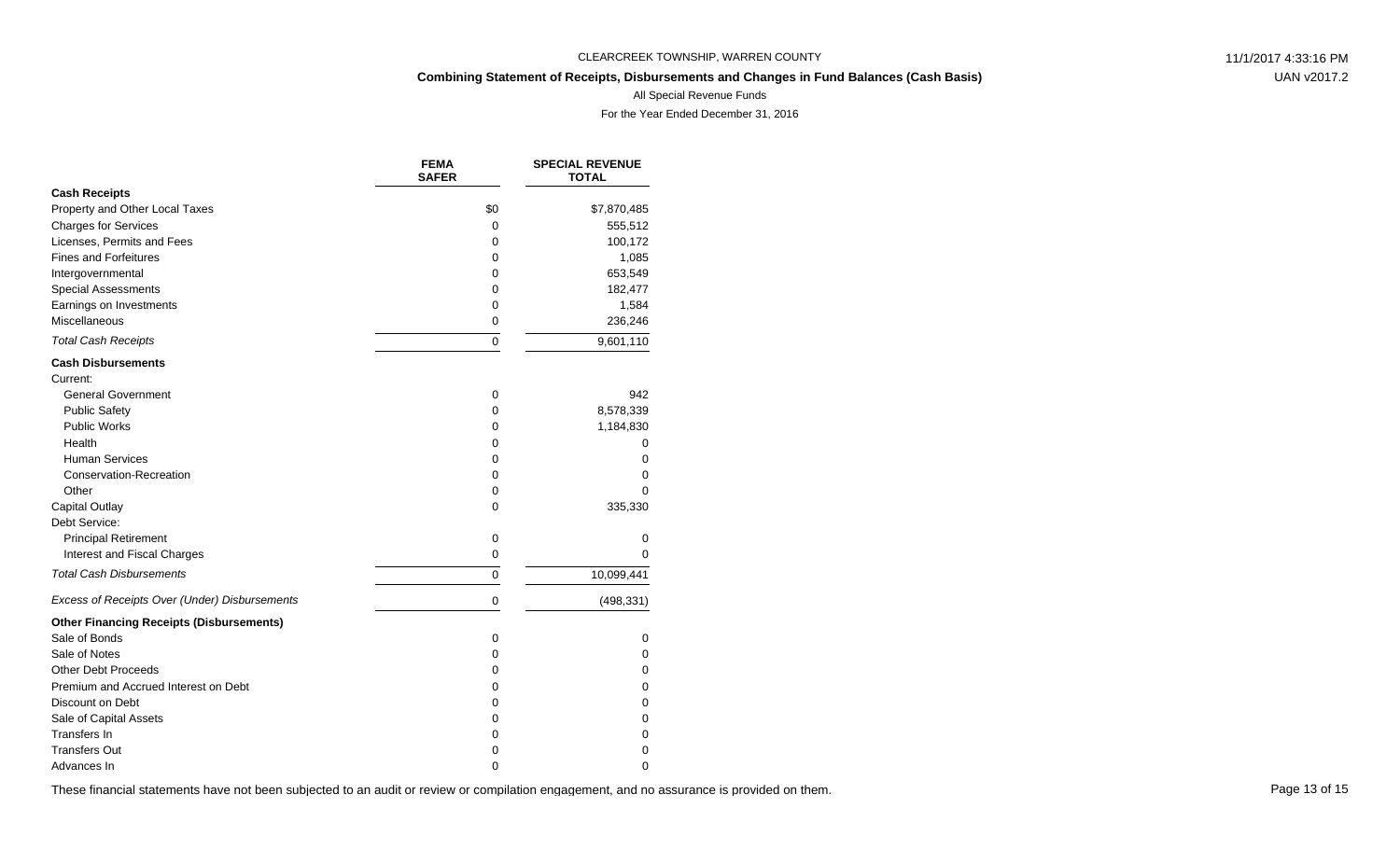## **Combining Statement of Receipts, Disbursements and Changes in Fund Balances (Cash Basis)**

UAN v2017.2

All Special Revenue Funds

For the Year Ended December 31, 2016

|                                                 | <b>FEMA</b><br><b>SAFER</b> | <b>SPECIAL REVENUE</b><br><b>TOTAL</b> |
|-------------------------------------------------|-----------------------------|----------------------------------------|
| <b>Cash Receipts</b>                            |                             |                                        |
| Property and Other Local Taxes                  | \$0                         | \$7,870,485                            |
| <b>Charges for Services</b>                     | 0                           | 555,512                                |
| Licenses, Permits and Fees                      | 0                           | 100,172                                |
| <b>Fines and Forfeitures</b>                    | 0                           | 1,085                                  |
| Intergovernmental                               | 0                           | 653,549                                |
| <b>Special Assessments</b>                      | 0                           | 182,477                                |
| Earnings on Investments                         | 0                           | 1,584                                  |
| Miscellaneous                                   | 0                           | 236,246                                |
| <b>Total Cash Receipts</b>                      | $\Omega$                    | 9,601,110                              |
| <b>Cash Disbursements</b>                       |                             |                                        |
| Current:                                        |                             |                                        |
| <b>General Government</b>                       | 0                           | 942                                    |
| <b>Public Safety</b>                            | 0                           | 8,578,339                              |
| <b>Public Works</b>                             | 0                           | 1,184,830                              |
| Health                                          | 0                           | 0                                      |
| <b>Human Services</b>                           | 0                           | 0                                      |
| Conservation-Recreation                         | 0                           | 0                                      |
| Other                                           | 0                           | $\Omega$                               |
| Capital Outlay                                  | $\Omega$                    | 335,330                                |
| Debt Service:                                   |                             |                                        |
| <b>Principal Retirement</b>                     | 0                           | 0                                      |
| Interest and Fiscal Charges                     | 0                           | 0                                      |
| <b>Total Cash Disbursements</b>                 | 0                           | 10,099,441                             |
| Excess of Receipts Over (Under) Disbursements   | 0                           | (498, 331)                             |
| <b>Other Financing Receipts (Disbursements)</b> |                             |                                        |
| Sale of Bonds                                   | 0                           | 0                                      |
| Sale of Notes                                   | 0                           | 0                                      |
| <b>Other Debt Proceeds</b>                      | 0                           | 0                                      |
| Premium and Accrued Interest on Debt            | 0                           | 0                                      |
| Discount on Debt                                | 0                           | 0                                      |
| Sale of Capital Assets                          | 0                           | 0                                      |
| Transfers In                                    | 0                           | 0                                      |
| <b>Transfers Out</b>                            | 0                           | 0                                      |
| Advances In                                     | $\Omega$                    | 0                                      |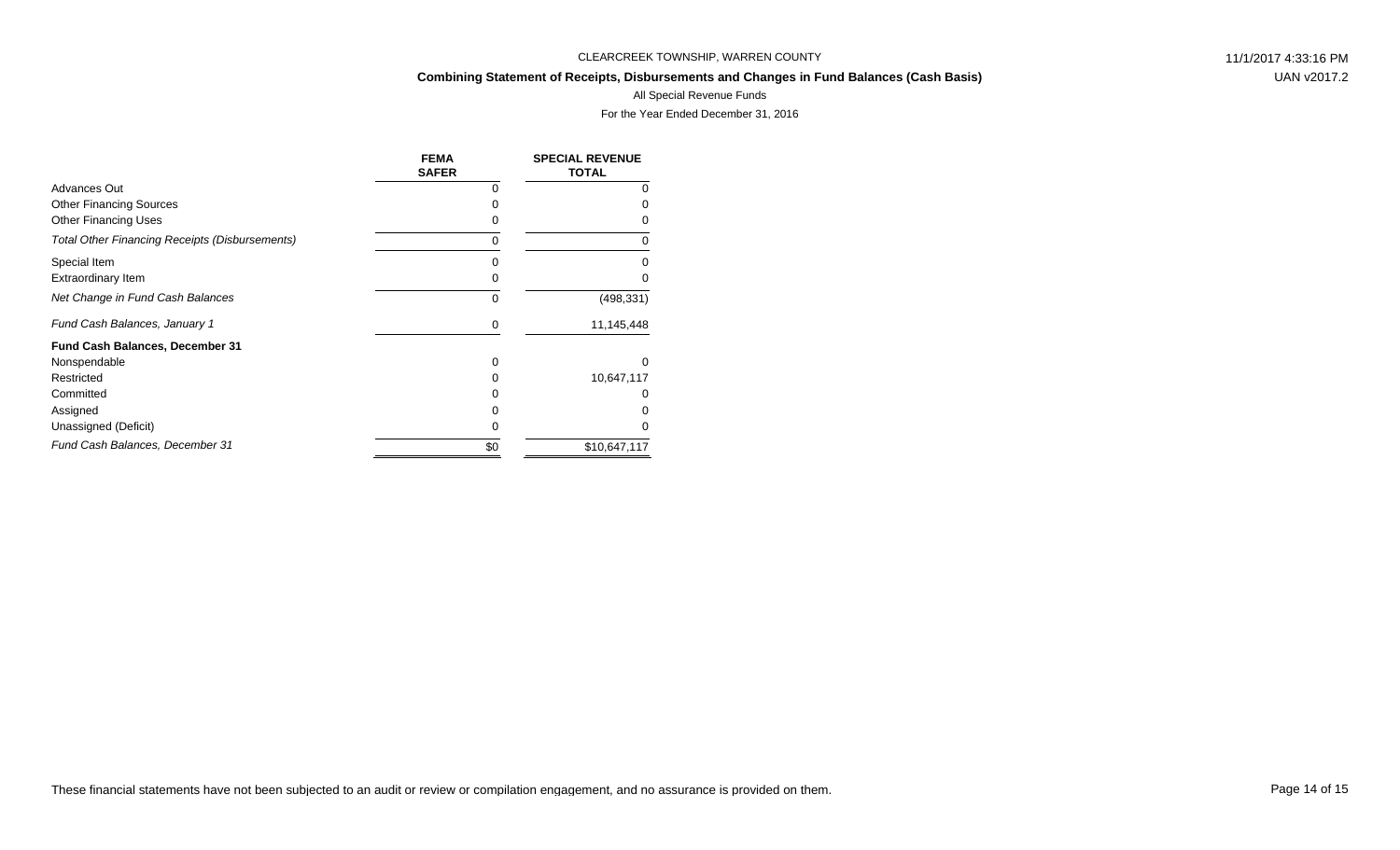## **Combining Statement of Receipts, Disbursements and Changes in Fund Balances (Cash Basis)**

UAN v2017.2

#### All Special Revenue Funds

|                                                       | <b>FEMA</b><br><b>SAFER</b> | <b>SPECIAL REVENUE</b><br><b>TOTAL</b> |
|-------------------------------------------------------|-----------------------------|----------------------------------------|
| Advances Out                                          | 0                           | Ω                                      |
| <b>Other Financing Sources</b>                        |                             |                                        |
| <b>Other Financing Uses</b>                           | 0                           |                                        |
| <b>Total Other Financing Receipts (Disbursements)</b> | 0                           | 0                                      |
| Special Item                                          |                             |                                        |
| Extraordinary Item                                    | O                           |                                        |
| Net Change in Fund Cash Balances                      | 0                           | (498, 331)                             |
| Fund Cash Balances, January 1                         | 0                           | 11,145,448                             |
| <b>Fund Cash Balances, December 31</b>                |                             |                                        |
| Nonspendable                                          | 0                           | U                                      |
| Restricted                                            | O                           | 10,647,117                             |
| Committed                                             | O                           |                                        |
| Assigned                                              | Ω                           |                                        |
| Unassigned (Deficit)                                  | O                           |                                        |
| Fund Cash Balances, December 31                       | \$0                         | \$10,647,117                           |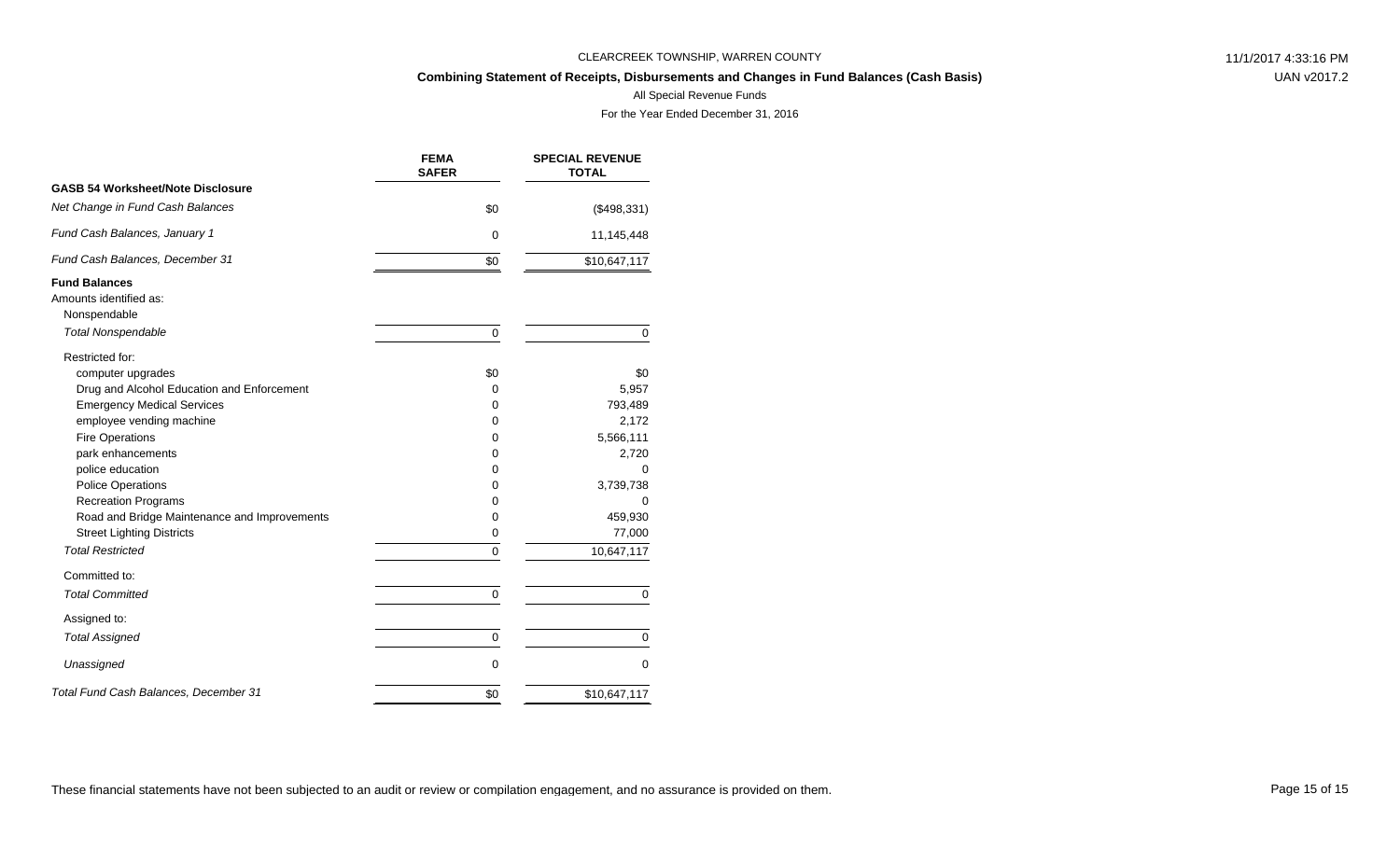## **Combining Statement of Receipts, Disbursements and Changes in Fund Balances (Cash Basis)**

UAN v2017.2

### All Special Revenue Funds

|                                              | <b>FEMA</b><br><b>SAFER</b> | <b>SPECIAL REVENUE</b><br><b>TOTAL</b> |
|----------------------------------------------|-----------------------------|----------------------------------------|
| <b>GASB 54 Worksheet/Note Disclosure</b>     |                             |                                        |
| Net Change in Fund Cash Balances             | \$0                         | (\$498,331)                            |
| Fund Cash Balances, January 1                | $\Omega$                    | 11,145,448                             |
| Fund Cash Balances, December 31              | \$0                         | \$10,647,117                           |
| <b>Fund Balances</b>                         |                             |                                        |
| Amounts identified as:                       |                             |                                        |
| Nonspendable                                 |                             |                                        |
| <b>Total Nonspendable</b>                    | $\mathbf 0$                 | 0                                      |
| Restricted for:                              |                             |                                        |
| computer upgrades                            | \$0                         | \$0                                    |
| Drug and Alcohol Education and Enforcement   | 0                           | 5,957                                  |
| <b>Emergency Medical Services</b>            | 0                           | 793,489                                |
| employee vending machine                     | 0                           | 2,172                                  |
| <b>Fire Operations</b>                       | 0                           | 5,566,111                              |
| park enhancements                            | 0                           | 2,720                                  |
| police education                             | 0                           | $\Omega$                               |
| <b>Police Operations</b>                     | 0                           | 3,739,738                              |
| <b>Recreation Programs</b>                   | 0                           | 0                                      |
| Road and Bridge Maintenance and Improvements | 0                           | 459,930                                |
| <b>Street Lighting Districts</b>             | 0                           | 77,000                                 |
| <b>Total Restricted</b>                      | 0                           | 10,647,117                             |
| Committed to:                                |                             |                                        |
| <b>Total Committed</b>                       | 0                           | 0                                      |
| Assigned to:                                 |                             |                                        |
| <b>Total Assigned</b>                        | 0                           | 0                                      |
| Unassigned                                   | $\mathbf 0$                 | 0                                      |
| Total Fund Cash Balances, December 31        | \$0                         | \$10,647,117                           |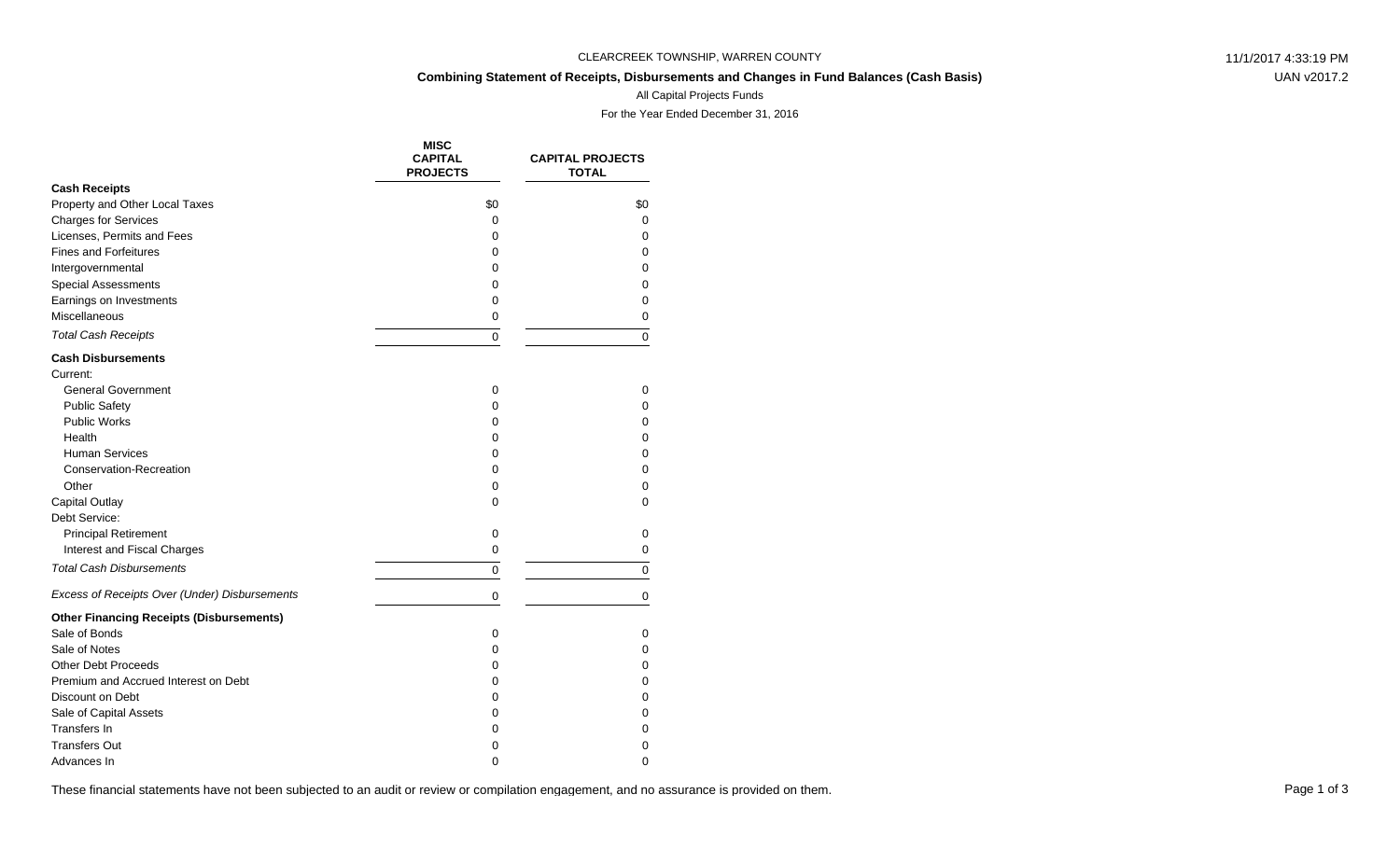## **Combining Statement of Receipts, Disbursements and Changes in Fund Balances (Cash Basis)**

UAN v2017.2

### All Capital Projects Funds

For the Year Ended December 31, 2016

|                                                 | <b>MISC</b><br><b>CAPITAL</b><br><b>PROJECTS</b> | <b>CAPITAL PROJECTS</b><br><b>TOTAL</b> |
|-------------------------------------------------|--------------------------------------------------|-----------------------------------------|
| <b>Cash Receipts</b>                            |                                                  |                                         |
| Property and Other Local Taxes                  | \$0                                              | \$0                                     |
| <b>Charges for Services</b>                     | 0                                                | $\Omega$                                |
| Licenses, Permits and Fees                      | 0                                                | 0                                       |
| <b>Fines and Forfeitures</b>                    | 0                                                | 0                                       |
| Intergovernmental                               | 0                                                | $\Omega$                                |
| <b>Special Assessments</b>                      | 0                                                | $\Omega$                                |
| Earnings on Investments                         | $\mathbf 0$                                      | $\Omega$                                |
| Miscellaneous                                   | 0                                                | $\mathbf 0$                             |
| <b>Total Cash Receipts</b>                      | 0                                                | 0                                       |
| <b>Cash Disbursements</b>                       |                                                  |                                         |
| Current:                                        |                                                  |                                         |
| <b>General Government</b>                       | 0                                                | 0                                       |
| <b>Public Safety</b>                            | 0                                                | 0                                       |
| <b>Public Works</b>                             | 0                                                | 0                                       |
| Health                                          | 0                                                | $\Omega$                                |
| <b>Human Services</b>                           | 0                                                | $\Omega$                                |
| Conservation-Recreation                         | 0                                                | 0                                       |
| Other                                           | $\Omega$                                         | $\Omega$                                |
| <b>Capital Outlay</b>                           | 0                                                | $\Omega$                                |
| Debt Service:                                   |                                                  |                                         |
| <b>Principal Retirement</b>                     | 0                                                | 0                                       |
| Interest and Fiscal Charges                     | $\mathbf 0$                                      | 0                                       |
| <b>Total Cash Disbursements</b>                 | 0                                                | $\Omega$                                |
| Excess of Receipts Over (Under) Disbursements   | 0                                                | 0                                       |
| <b>Other Financing Receipts (Disbursements)</b> |                                                  |                                         |
| Sale of Bonds                                   | 0                                                | 0                                       |
| Sale of Notes                                   | 0                                                | $\Omega$                                |
| <b>Other Debt Proceeds</b>                      | 0                                                | $\Omega$                                |
| Premium and Accrued Interest on Debt            | 0                                                | 0                                       |
| Discount on Debt                                | 0                                                | 0                                       |
| Sale of Capital Assets                          | 0                                                | 0                                       |
| Transfers In                                    | 0                                                | 0                                       |
| <b>Transfers Out</b>                            | 0                                                | 0                                       |
| Advances In                                     | $\Omega$                                         | $\Omega$                                |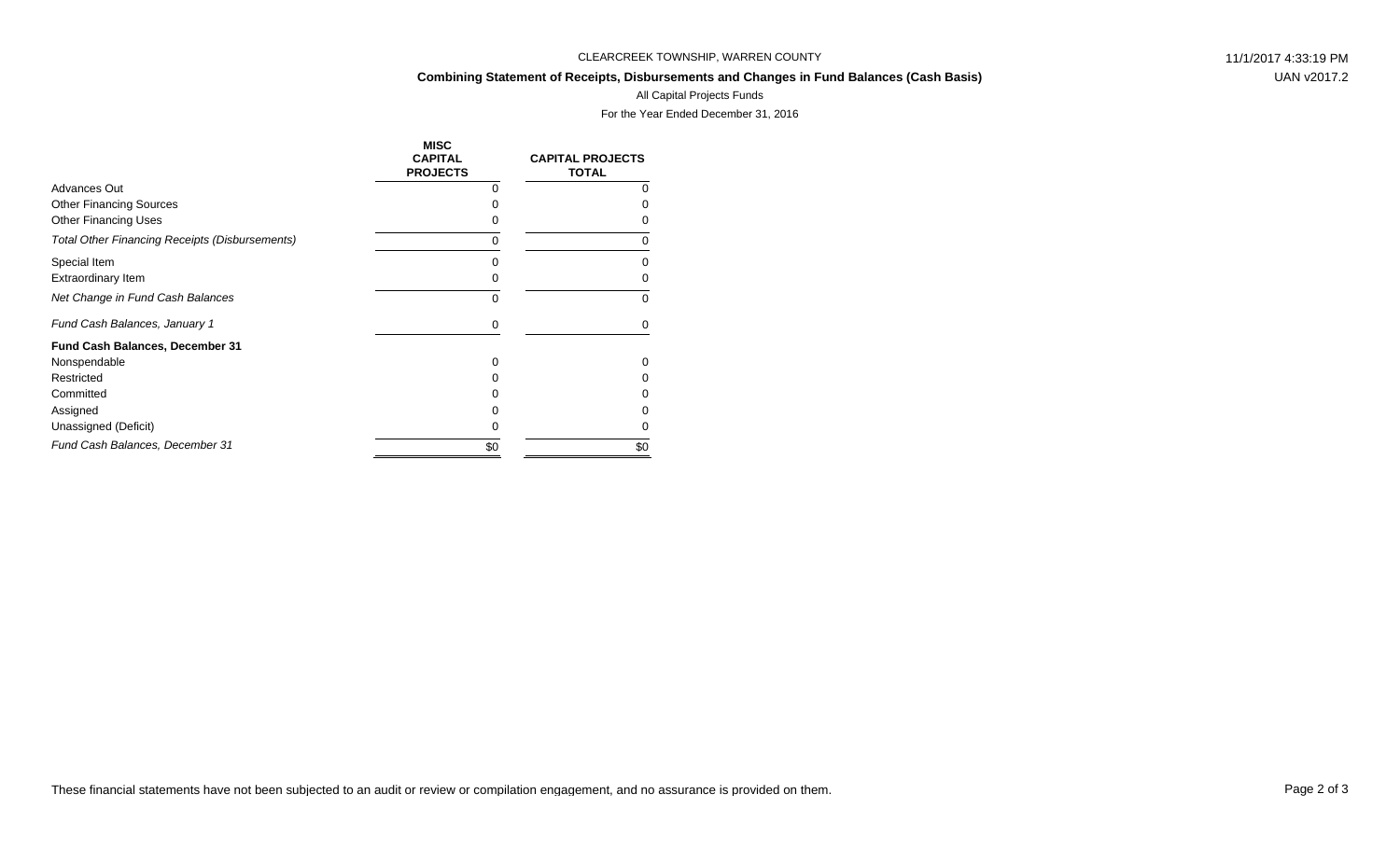#### **Combining Statement of Receipts, Disbursements and Changes in Fund Balances (Cash Basis)**

UAN v2017.2

## All Capital Projects Funds

|                                                       | <b>MISC</b><br><b>CAPITAL</b><br><b>PROJECTS</b> | <b>CAPITAL PROJECTS</b><br><b>TOTAL</b> |
|-------------------------------------------------------|--------------------------------------------------|-----------------------------------------|
| Advances Out                                          | O                                                | O                                       |
| <b>Other Financing Sources</b>                        | O                                                |                                         |
| <b>Other Financing Uses</b>                           |                                                  |                                         |
| <b>Total Other Financing Receipts (Disbursements)</b> | 0                                                | O                                       |
| Special Item                                          | O                                                |                                         |
| Extraordinary Item                                    | 0                                                | n                                       |
| Net Change in Fund Cash Balances                      | 0                                                | $\Omega$                                |
| Fund Cash Balances, January 1                         | 0                                                | 0                                       |
| Fund Cash Balances, December 31                       |                                                  |                                         |
| Nonspendable                                          | 0                                                | 0                                       |
| Restricted                                            |                                                  |                                         |
| Committed                                             |                                                  |                                         |
| Assigned                                              |                                                  |                                         |
| Unassigned (Deficit)                                  | 0                                                | Ω                                       |
| Fund Cash Balances, December 31                       | \$0                                              | \$0                                     |